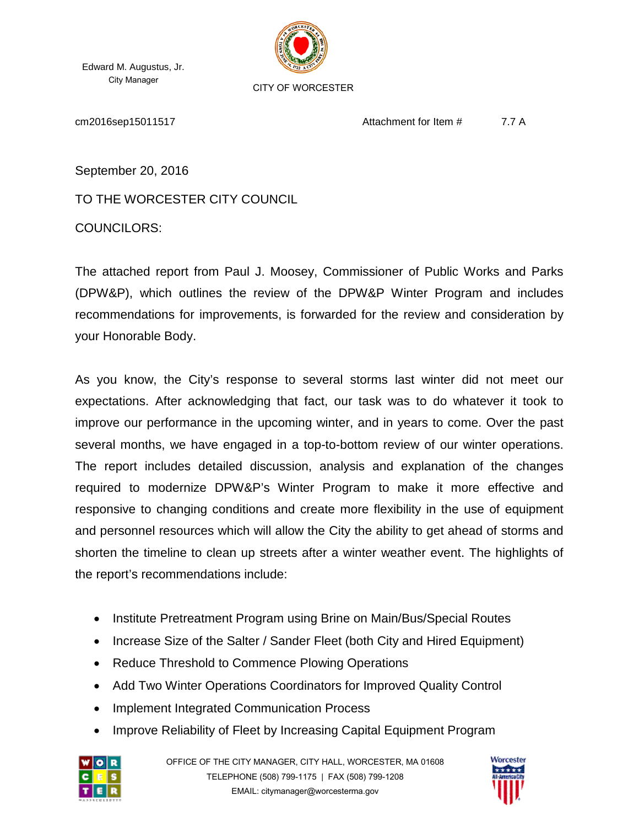Edward M. Augustus, Jr. City Manager



CITY OF WORCESTER

cm2016sep15011517 Attachment for Item # 7.7 A

September 20, 2016

TO THE WORCESTER CITY COUNCIL

COUNCILORS:

The attached report from Paul J. Moosey, Commissioner of Public Works and Parks (DPW&P), which outlines the review of the DPW&P Winter Program and includes recommendations for improvements, is forwarded for the review and consideration by your Honorable Body.

As you know, the City's response to several storms last winter did not meet our expectations. After acknowledging that fact, our task was to do whatever it took to improve our performance in the upcoming winter, and in years to come. Over the past several months, we have engaged in a top-to-bottom review of our winter operations. The report includes detailed discussion, analysis and explanation of the changes required to modernize DPW&P's Winter Program to make it more effective and responsive to changing conditions and create more flexibility in the use of equipment and personnel resources which will allow the City the ability to get ahead of storms and shorten the timeline to clean up streets after a winter weather event. The highlights of the report's recommendations include:

- Institute Pretreatment Program using Brine on Main/Bus/Special Routes
- Increase Size of the Salter / Sander Fleet (both City and Hired Equipment)
- Reduce Threshold to Commence Plowing Operations
- Add Two Winter Operations Coordinators for Improved Quality Control
- Implement Integrated Communication Process
- Improve Reliability of Fleet by Increasing Capital Equipment Program



OFFICE OF THE CITY MANAGER, CITY HALL, WORCESTER, MA 01608 TELEPHONE (508) 799-1175 | FAX (508) 799-1208 EMAIL: citymanager@worcesterma.gov

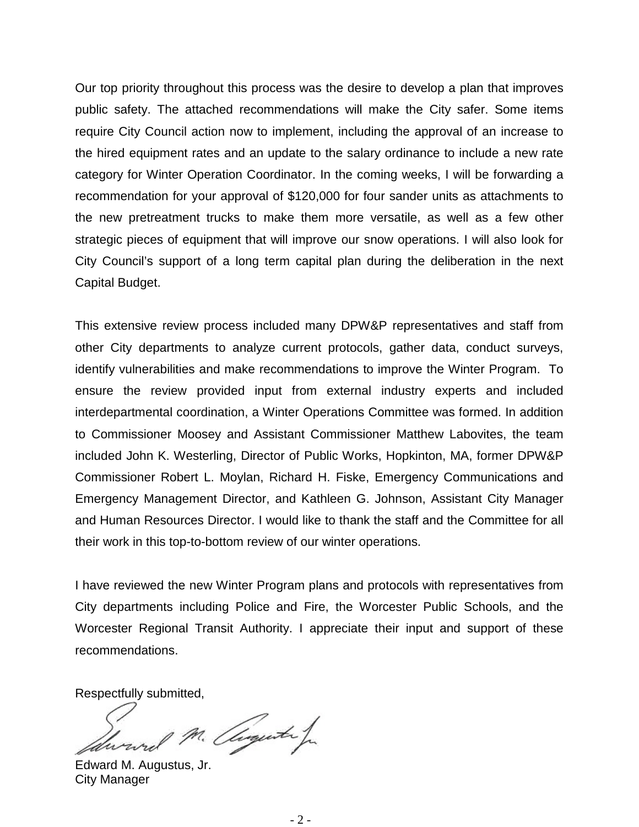Our top priority throughout this process was the desire to develop a plan that improves public safety. The attached recommendations will make the City safer. Some items require City Council action now to implement, including the approval of an increase to the hired equipment rates and an update to the salary ordinance to include a new rate category for Winter Operation Coordinator. In the coming weeks, I will be forwarding a recommendation for your approval of \$120,000 for four sander units as attachments to the new pretreatment trucks to make them more versatile, as well as a few other strategic pieces of equipment that will improve our snow operations. I will also look for City Council's support of a long term capital plan during the deliberation in the next Capital Budget.

This extensive review process included many DPW&P representatives and staff from other City departments to analyze current protocols, gather data, conduct surveys, identify vulnerabilities and make recommendations to improve the Winter Program. To ensure the review provided input from external industry experts and included interdepartmental coordination, a Winter Operations Committee was formed. In addition to Commissioner Moosey and Assistant Commissioner Matthew Labovites, the team included John K. Westerling, Director of Public Works, Hopkinton, MA, former DPW&P Commissioner Robert L. Moylan, Richard H. Fiske, Emergency Communications and Emergency Management Director, and Kathleen G. Johnson, Assistant City Manager and Human Resources Director. I would like to thank the staff and the Committee for all their work in this top-to-bottom review of our winter operations.

I have reviewed the new Winter Program plans and protocols with representatives from City departments including Police and Fire, the Worcester Public Schools, and the Worcester Regional Transit Authority. I appreciate their input and support of these recommendations.

Respectfully submitted,

p. M. Auguster

Edward M. Augustus, Jr. City Manager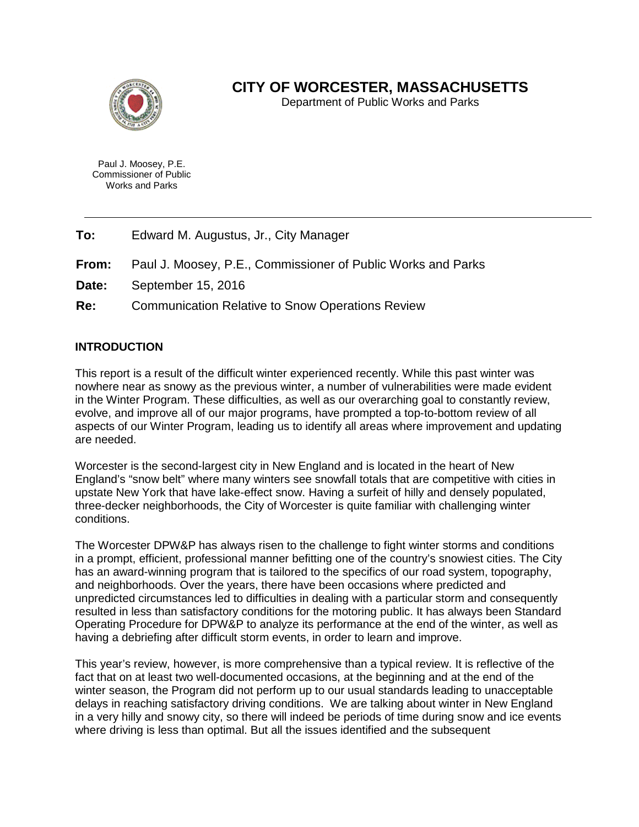

## **CITY OF WORCESTER, MASSACHUSETTS**

Department of Public Works and Parks

Paul J. Moosey, P.E. Commissioner of Public Works and Parks

- **To:** Edward M. Augustus, Jr., City Manager
- **From:** Paul J. Moosey, P.E., Commissioner of Public Works and Parks
- **Date:** September 15, 2016
- **Re:** Communication Relative to Snow Operations Review

#### **INTRODUCTION**

This report is a result of the difficult winter experienced recently. While this past winter was nowhere near as snowy as the previous winter, a number of vulnerabilities were made evident in the Winter Program. These difficulties, as well as our overarching goal to constantly review, evolve, and improve all of our major programs, have prompted a top-to-bottom review of all aspects of our Winter Program, leading us to identify all areas where improvement and updating are needed.

Worcester is the second-largest city in New England and is located in the heart of New England's "snow belt" where many winters see snowfall totals that are competitive with cities in upstate New York that have lake-effect snow. Having a surfeit of hilly and densely populated, three-decker neighborhoods, the City of Worcester is quite familiar with challenging winter conditions.

The Worcester DPW&P has always risen to the challenge to fight winter storms and conditions in a prompt, efficient, professional manner befitting one of the country's snowiest cities. The City has an award-winning program that is tailored to the specifics of our road system, topography, and neighborhoods. Over the years, there have been occasions where predicted and unpredicted circumstances led to difficulties in dealing with a particular storm and consequently resulted in less than satisfactory conditions for the motoring public. It has always been Standard Operating Procedure for DPW&P to analyze its performance at the end of the winter, as well as having a debriefing after difficult storm events, in order to learn and improve.

This year's review, however, is more comprehensive than a typical review. It is reflective of the fact that on at least two well-documented occasions, at the beginning and at the end of the winter season, the Program did not perform up to our usual standards leading to unacceptable delays in reaching satisfactory driving conditions. We are talking about winter in New England in a very hilly and snowy city, so there will indeed be periods of time during snow and ice events where driving is less than optimal. But all the issues identified and the subsequent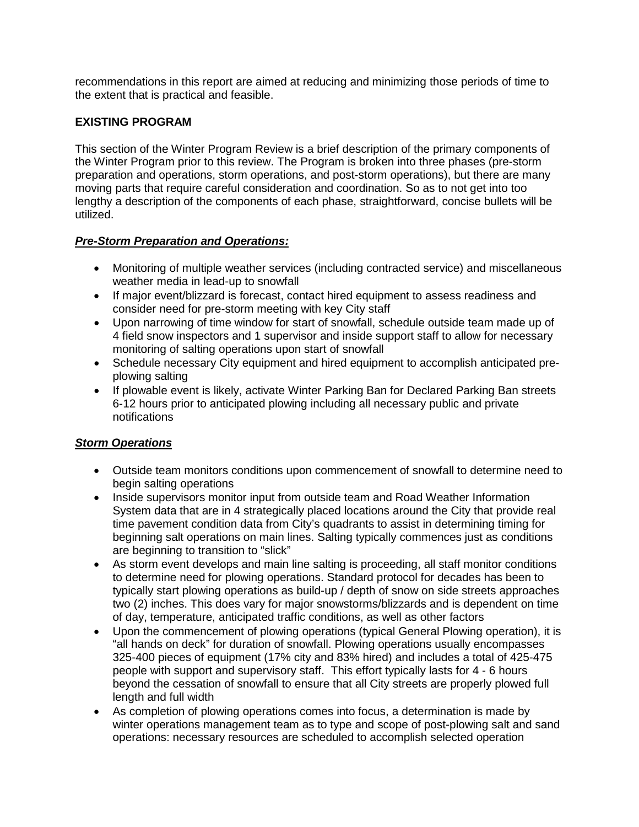recommendations in this report are aimed at reducing and minimizing those periods of time to the extent that is practical and feasible.

#### **EXISTING PROGRAM**

This section of the Winter Program Review is a brief description of the primary components of the Winter Program prior to this review. The Program is broken into three phases (pre-storm preparation and operations, storm operations, and post-storm operations), but there are many moving parts that require careful consideration and coordination. So as to not get into too lengthy a description of the components of each phase, straightforward, concise bullets will be utilized.

### *Pre-Storm Preparation and Operations:*

- Monitoring of multiple weather services (including contracted service) and miscellaneous weather media in lead-up to snowfall
- If major event/blizzard is forecast, contact hired equipment to assess readiness and consider need for pre-storm meeting with key City staff
- Upon narrowing of time window for start of snowfall, schedule outside team made up of 4 field snow inspectors and 1 supervisor and inside support staff to allow for necessary monitoring of salting operations upon start of snowfall
- Schedule necessary City equipment and hired equipment to accomplish anticipated preplowing salting
- If plowable event is likely, activate Winter Parking Ban for Declared Parking Ban streets 6-12 hours prior to anticipated plowing including all necessary public and private notifications

### *Storm Operations*

- Outside team monitors conditions upon commencement of snowfall to determine need to begin salting operations
- Inside supervisors monitor input from outside team and Road Weather Information System data that are in 4 strategically placed locations around the City that provide real time pavement condition data from City's quadrants to assist in determining timing for beginning salt operations on main lines. Salting typically commences just as conditions are beginning to transition to "slick"
- As storm event develops and main line salting is proceeding, all staff monitor conditions to determine need for plowing operations. Standard protocol for decades has been to typically start plowing operations as build-up / depth of snow on side streets approaches two (2) inches. This does vary for major snowstorms/blizzards and is dependent on time of day, temperature, anticipated traffic conditions, as well as other factors
- Upon the commencement of plowing operations (typical General Plowing operation), it is "all hands on deck" for duration of snowfall. Plowing operations usually encompasses 325-400 pieces of equipment (17% city and 83% hired) and includes a total of 425-475 people with support and supervisory staff. This effort typically lasts for 4 - 6 hours beyond the cessation of snowfall to ensure that all City streets are properly plowed full length and full width
- As completion of plowing operations comes into focus, a determination is made by winter operations management team as to type and scope of post-plowing salt and sand operations: necessary resources are scheduled to accomplish selected operation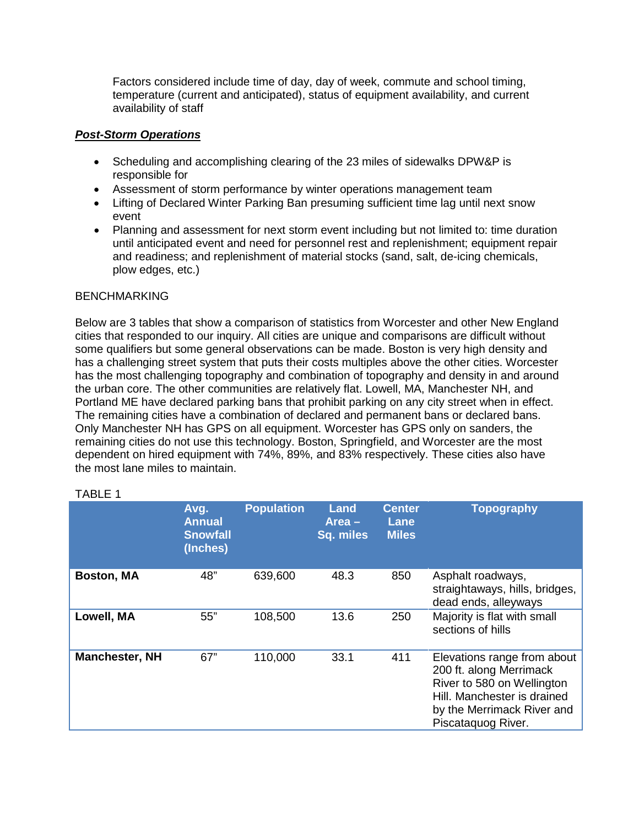Factors considered include time of day, day of week, commute and school timing, temperature (current and anticipated), status of equipment availability, and current availability of staff

#### *Post-Storm Operations*

- Scheduling and accomplishing clearing of the 23 miles of sidewalks DPW&P is responsible for
- Assessment of storm performance by winter operations management team
- Lifting of Declared Winter Parking Ban presuming sufficient time lag until next snow event
- Planning and assessment for next storm event including but not limited to: time duration until anticipated event and need for personnel rest and replenishment; equipment repair and readiness; and replenishment of material stocks (sand, salt, de-icing chemicals, plow edges, etc.)

#### BENCHMARKING

Below are 3 tables that show a comparison of statistics from Worcester and other New England cities that responded to our inquiry. All cities are unique and comparisons are difficult without some qualifiers but some general observations can be made. Boston is very high density and has a challenging street system that puts their costs multiples above the other cities. Worcester has the most challenging topography and combination of topography and density in and around the urban core. The other communities are relatively flat. Lowell, MA, Manchester NH, and Portland ME have declared parking bans that prohibit parking on any city street when in effect. The remaining cities have a combination of declared and permanent bans or declared bans. Only Manchester NH has GPS on all equipment. Worcester has GPS only on sanders, the remaining cities do not use this technology. Boston, Springfield, and Worcester are the most dependent on hired equipment with 74%, 89%, and 83% respectively. These cities also have the most lane miles to maintain.

|                       | Avg.<br><b>Annual</b><br><b>Snowfall</b><br>(Inches) | <b>Population</b> | Land<br>$Area -$<br>Sq. miles | <b>Center</b><br>Lane<br><b>Miles</b> | <b>Topography</b>                                                                                                                                                       |
|-----------------------|------------------------------------------------------|-------------------|-------------------------------|---------------------------------------|-------------------------------------------------------------------------------------------------------------------------------------------------------------------------|
| <b>Boston, MA</b>     | 48"                                                  | 639,600           | 48.3                          | 850                                   | Asphalt roadways,<br>straightaways, hills, bridges,<br>dead ends, alleyways                                                                                             |
| Lowell, MA            | 55"                                                  | 108,500           | 13.6                          | 250                                   | Majority is flat with small<br>sections of hills                                                                                                                        |
| <b>Manchester, NH</b> | 67"                                                  | 110,000           | 33.1                          | 411                                   | Elevations range from about<br>200 ft. along Merrimack<br>River to 580 on Wellington<br>Hill. Manchester is drained<br>by the Merrimack River and<br>Piscataquog River. |

#### TABLE 1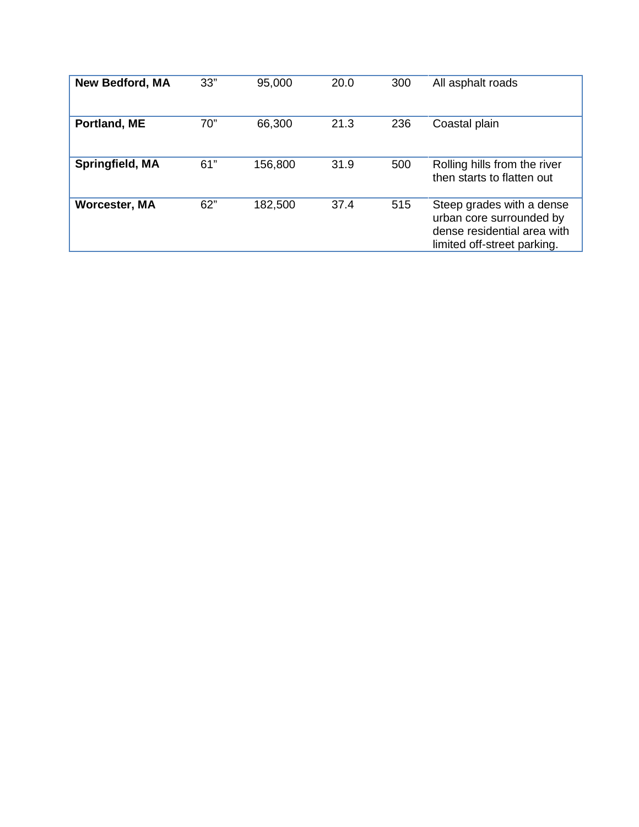| <b>New Bedford, MA</b> | 33" | 95,000  | 20.0 | 300 | All asphalt roads                                                                                                   |
|------------------------|-----|---------|------|-----|---------------------------------------------------------------------------------------------------------------------|
| Portland, ME           | 70" | 66,300  | 21.3 | 236 | Coastal plain                                                                                                       |
| Springfield, MA        | 61" | 156,800 | 31.9 | 500 | Rolling hills from the river<br>then starts to flatten out                                                          |
| <b>Worcester, MA</b>   | 62" | 182,500 | 37.4 | 515 | Steep grades with a dense<br>urban core surrounded by<br>dense residential area with<br>limited off-street parking. |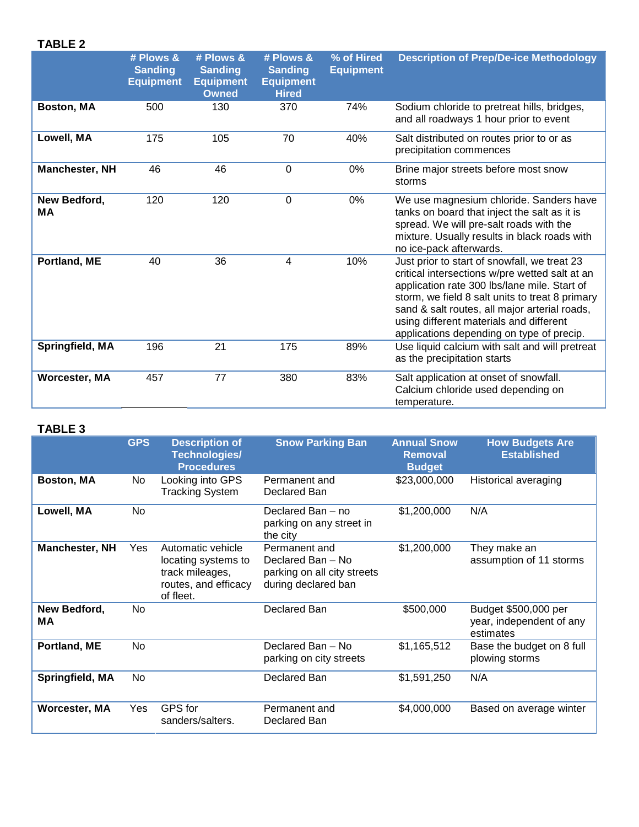## **TABLE 2**

|                           | # Plows &<br><b>Sanding</b><br><b>Equipment</b> | # Plows &<br><b>Sanding</b><br><b>Equipment</b><br><b>Owned</b> | # Plows &<br><b>Sanding</b><br><b>Equipment</b><br><b>Hired</b> | % of Hired<br><b>Equipment</b> | <b>Description of Prep/De-ice Methodology</b>                                                                                                                                                                                                                                                                                              |
|---------------------------|-------------------------------------------------|-----------------------------------------------------------------|-----------------------------------------------------------------|--------------------------------|--------------------------------------------------------------------------------------------------------------------------------------------------------------------------------------------------------------------------------------------------------------------------------------------------------------------------------------------|
| Boston, MA                | 500                                             | 130                                                             | 370                                                             | 74%                            | Sodium chloride to pretreat hills, bridges,<br>and all roadways 1 hour prior to event                                                                                                                                                                                                                                                      |
| Lowell, MA                | 175                                             | 105                                                             | 70                                                              | 40%                            | Salt distributed on routes prior to or as<br>precipitation commences                                                                                                                                                                                                                                                                       |
| <b>Manchester, NH</b>     | 46                                              | 46                                                              | $\mathbf 0$                                                     | 0%                             | Brine major streets before most snow<br>storms                                                                                                                                                                                                                                                                                             |
| New Bedford,<br><b>MA</b> | 120                                             | 120                                                             | $\Omega$                                                        | 0%                             | We use magnesium chloride. Sanders have<br>tanks on board that inject the salt as it is<br>spread. We will pre-salt roads with the<br>mixture. Usually results in black roads with<br>no ice-pack afterwards.                                                                                                                              |
| Portland, ME              | 40                                              | 36                                                              | 4                                                               | 10%                            | Just prior to start of snowfall, we treat 23<br>critical intersections w/pre wetted salt at an<br>application rate 300 lbs/lane mile. Start of<br>storm, we field 8 salt units to treat 8 primary<br>sand & salt routes, all major arterial roads,<br>using different materials and different<br>applications depending on type of precip. |
| Springfield, MA           | 196                                             | 21                                                              | 175                                                             | 89%                            | Use liquid calcium with salt and will pretreat<br>as the precipitation starts                                                                                                                                                                                                                                                              |
| <b>Worcester, MA</b>      | 457                                             | 77                                                              | 380                                                             | 83%                            | Salt application at onset of snowfall.<br>Calcium chloride used depending on<br>temperature.                                                                                                                                                                                                                                               |

#### **TABLE 3**

|                       | <b>GPS</b> | <b>Description of</b><br>Technologies/<br><b>Procedures</b>                                      | <b>Snow Parking Ban</b>                                                                  | <b>Annual Snow</b><br><b>Removal</b><br><b>Budget</b> | <b>How Budgets Are</b><br><b>Established</b>                  |
|-----------------------|------------|--------------------------------------------------------------------------------------------------|------------------------------------------------------------------------------------------|-------------------------------------------------------|---------------------------------------------------------------|
| Boston, MA            | No         | Looking into GPS<br><b>Tracking System</b>                                                       | Permanent and<br>Declared Ban                                                            | \$23,000,000                                          | Historical averaging                                          |
| Lowell, MA            | <b>No</b>  |                                                                                                  | Declared Ban - no<br>parking on any street in<br>the city                                | \$1,200,000                                           | N/A                                                           |
| <b>Manchester, NH</b> | Yes        | Automatic vehicle<br>locating systems to<br>track mileages,<br>routes, and efficacy<br>of fleet. | Permanent and<br>Declared Ban - No<br>parking on all city streets<br>during declared ban | \$1,200,000                                           | They make an<br>assumption of 11 storms                       |
| New Bedford,<br>ΜA    | No.        |                                                                                                  | Declared Ban                                                                             | \$500,000                                             | Budget \$500,000 per<br>year, independent of any<br>estimates |
| Portland, ME          | No.        |                                                                                                  | Declared Ban - No<br>parking on city streets                                             | \$1,165,512                                           | Base the budget on 8 full<br>plowing storms                   |
| Springfield, MA       | No.        |                                                                                                  | Declared Ban                                                                             | \$1,591,250                                           | N/A                                                           |
| <b>Worcester, MA</b>  | Yes        | <b>GPS</b> for<br>sanders/salters.                                                               | Permanent and<br>Declared Ban                                                            | \$4,000,000                                           | Based on average winter                                       |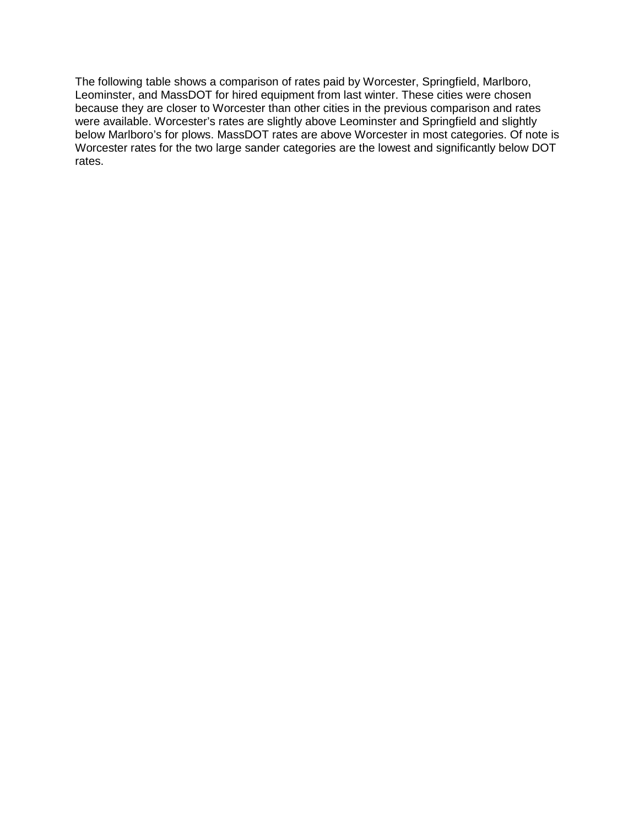The following table shows a comparison of rates paid by Worcester, Springfield, Marlboro, Leominster, and MassDOT for hired equipment from last winter. These cities were chosen because they are closer to Worcester than other cities in the previous comparison and rates were available. Worcester's rates are slightly above Leominster and Springfield and slightly below Marlboro's for plows. MassDOT rates are above Worcester in most categories. Of note is Worcester rates for the two large sander categories are the lowest and significantly below DOT rates.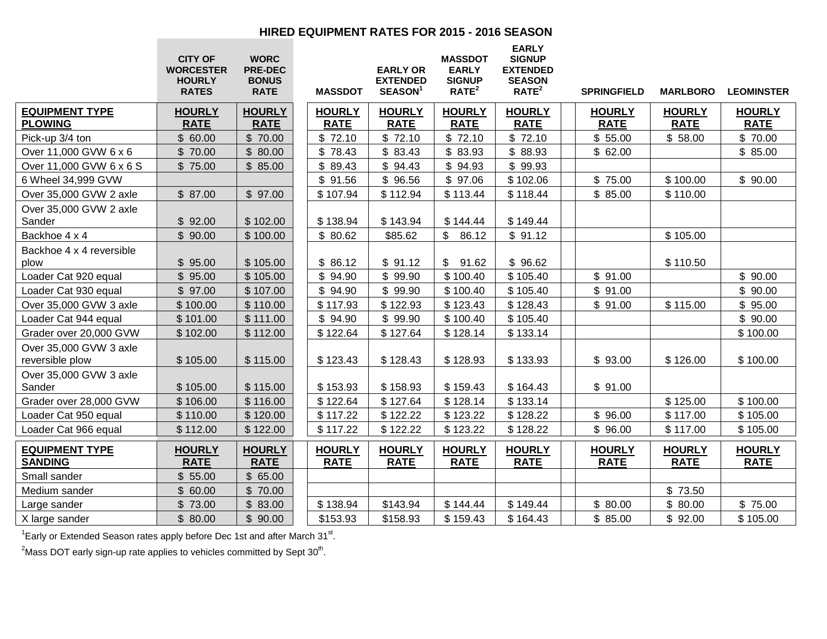#### **HIRED EQUIPMENT RATES FOR 2015 - 2016 SEASON**

|                                           | <b>CITY OF</b><br><b>WORCESTER</b><br><b>HOURLY</b><br><b>RATES</b> | <b>WORC</b><br><b>PRE-DEC</b><br><b>BONUS</b><br><b>RATE</b> | <b>MASSDOT</b>               | <b>EARLY OR</b><br><b>EXTENDED</b><br>SEASON <sup>1</sup> | <b>MASSDOT</b><br><b>EARLY</b><br><b>SIGNUP</b><br>RATE <sup>2</sup> | <b>EARLY</b><br><b>SIGNUP</b><br><b>EXTENDED</b><br><b>SEASON</b><br>RATE <sup>2</sup> | <b>SPRINGFIELD</b>           | <b>MARLBORO</b>              | <b>LEOMINSTER</b>            |
|-------------------------------------------|---------------------------------------------------------------------|--------------------------------------------------------------|------------------------------|-----------------------------------------------------------|----------------------------------------------------------------------|----------------------------------------------------------------------------------------|------------------------------|------------------------------|------------------------------|
| <b>EQUIPMENT TYPE</b><br><b>PLOWING</b>   | <b>HOURLY</b><br><b>RATE</b>                                        | <b>HOURLY</b><br><b>RATE</b>                                 | <b>HOURLY</b><br><b>RATE</b> | <b>HOURLY</b><br><b>RATE</b>                              | <b>HOURLY</b><br><b>RATE</b>                                         | <b>HOURLY</b><br><b>RATE</b>                                                           | <b>HOURLY</b><br><b>RATE</b> | <b>HOURLY</b><br><b>RATE</b> | <b>HOURLY</b><br><b>RATE</b> |
| Pick-up 3/4 ton                           | \$60.00                                                             | \$70.00                                                      | \$72.10                      | \$72.10                                                   | \$72.10                                                              | \$72.10                                                                                | \$55.00                      | \$58.00                      | \$70.00                      |
| Over 11,000 GVW 6 x 6                     | \$70.00                                                             | \$80.00                                                      | \$78.43                      | \$83.43                                                   | \$83.93                                                              | \$88.93                                                                                | \$62.00                      |                              | \$85.00                      |
| Over 11,000 GVW 6 x 6 S                   | \$75.00                                                             | \$85.00                                                      | \$89.43                      | \$94.43                                                   | \$94.93                                                              | \$99.93                                                                                |                              |                              |                              |
| 6 Wheel 34,999 GVW                        |                                                                     |                                                              | \$91.56                      | \$96.56                                                   | \$97.06                                                              | \$102.06                                                                               | \$75.00                      | \$100.00                     | \$90.00                      |
| Over 35,000 GVW 2 axle                    | \$87.00                                                             | \$97.00                                                      | \$107.94                     | \$112.94                                                  | \$113.44                                                             | \$118.44                                                                               | \$85.00                      | \$110.00                     |                              |
| Over 35,000 GVW 2 axle<br>Sander          | \$92.00                                                             | \$102.00                                                     | \$138.94                     | \$143.94                                                  | \$144.44                                                             | \$149.44                                                                               |                              |                              |                              |
| Backhoe 4 x 4                             | \$90.00                                                             | \$100.00                                                     | \$80.62                      | \$85.62                                                   | \$86.12                                                              | \$91.12                                                                                |                              | \$105.00                     |                              |
| Backhoe 4 x 4 reversible<br>plow          | \$95.00                                                             | \$105.00                                                     | \$86.12                      | \$91.12                                                   | \$91.62                                                              | \$96.62                                                                                |                              | \$110.50                     |                              |
| Loader Cat 920 equal                      | \$95.00                                                             | \$105.00                                                     | \$94.90                      | \$99.90                                                   | \$100.40                                                             | \$105.40                                                                               | \$91.00                      |                              | \$90.00                      |
| Loader Cat 930 equal                      | \$97.00                                                             | \$107.00                                                     | \$94.90                      | \$99.90                                                   | \$100.40                                                             | \$105.40                                                                               | \$91.00                      |                              | \$90.00                      |
| Over 35,000 GVW 3 axle                    | \$100.00                                                            | \$110.00                                                     | \$117.93                     | \$122.93                                                  | \$123.43                                                             | \$128.43                                                                               | \$91.00                      | \$115.00                     | \$95.00                      |
| Loader Cat 944 equal                      | \$101.00                                                            | \$111.00                                                     | \$94.90                      | \$99.90                                                   | \$100.40                                                             | \$105.40                                                                               |                              |                              | \$90.00                      |
| Grader over 20,000 GVW                    | \$102.00                                                            | \$112.00                                                     | \$122.64                     | \$127.64                                                  | \$128.14                                                             | \$133.14                                                                               |                              |                              | \$100.00                     |
| Over 35,000 GVW 3 axle<br>reversible plow | \$105.00                                                            | \$115.00                                                     | \$123.43                     | \$128.43                                                  | \$128.93                                                             | \$133.93                                                                               | \$93.00                      | \$126.00                     | \$100.00                     |
| Over 35,000 GVW 3 axle<br>Sander          | \$105.00                                                            | \$115.00                                                     | \$153.93                     | \$158.93                                                  | \$159.43                                                             | \$164.43                                                                               | \$91.00                      |                              |                              |
| Grader over 28,000 GVW                    | \$106.00                                                            | \$116.00                                                     | \$122.64                     | \$127.64                                                  | \$128.14                                                             | \$133.14                                                                               |                              | \$125.00                     | \$100.00                     |
| Loader Cat 950 equal                      | \$110.00                                                            | \$120.00                                                     | \$117.22                     | \$122.22                                                  | \$123.22                                                             | \$128.22                                                                               | \$96.00                      | \$117.00                     | \$105.00                     |
| Loader Cat 966 equal                      | \$112.00                                                            | \$122.00                                                     | \$117.22                     | \$122.22                                                  | \$123.22                                                             | \$128.22                                                                               | \$96.00                      | \$117.00                     | \$105.00                     |
| <b>EQUIPMENT TYPE</b><br><b>SANDING</b>   | <b>HOURLY</b><br><b>RATE</b>                                        | <b>HOURLY</b><br><b>RATE</b>                                 | <b>HOURLY</b><br><b>RATE</b> | <b>HOURLY</b><br><b>RATE</b>                              | <b>HOURLY</b><br><b>RATE</b>                                         | <b>HOURLY</b><br><b>RATE</b>                                                           | <b>HOURLY</b><br><b>RATE</b> | <b>HOURLY</b><br><b>RATE</b> | <b>HOURLY</b><br><b>RATE</b> |
| Small sander                              | \$55.00                                                             | \$65.00                                                      |                              |                                                           |                                                                      |                                                                                        |                              |                              |                              |
| Medium sander                             | \$60.00                                                             | \$70.00                                                      |                              |                                                           |                                                                      |                                                                                        |                              | \$73.50                      |                              |
| Large sander                              | \$73.00                                                             | \$83.00                                                      | \$138.94                     | \$143.94                                                  | \$144.44                                                             | \$149.44                                                                               | \$80.00                      | \$80.00                      | \$75.00                      |
| X large sander                            | \$80.00                                                             | \$90.00                                                      | \$153.93                     | \$158.93                                                  | \$159.43                                                             | \$164.43                                                                               | \$85.00                      | \$92.00                      | \$105.00                     |

<sup>1</sup> Early or Extended Season rates apply before Dec 1st and after March 31<sup>st</sup>.

<sup>2</sup>Mass DOT early sign-up rate applies to vehicles committed by Sept 30<sup>th</sup>.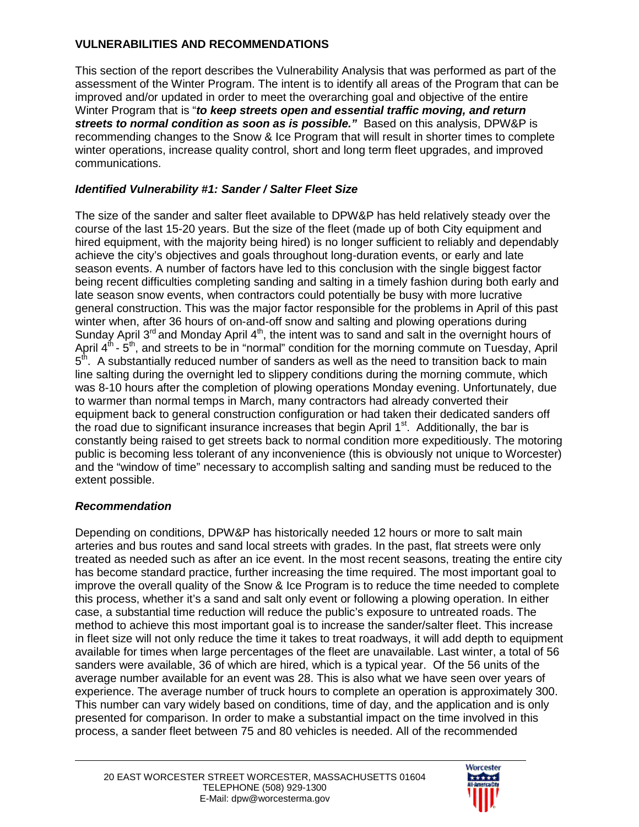## **VULNERABILITIES AND RECOMMENDATIONS**

This section of the report describes the Vulnerability Analysis that was performed as part of the assessment of the Winter Program. The intent is to identify all areas of the Program that can be improved and/or updated in order to meet the overarching goal and objective of the entire Winter Program that is "*to keep streets open and essential traffic moving, and return streets to normal condition as soon as is possible."* Based on this analysis, DPW&P is recommending changes to the Snow & Ice Program that will result in shorter times to complete winter operations, increase quality control, short and long term fleet upgrades, and improved communications.

## *Identified Vulnerability #1: Sander / Salter Fleet Size*

The size of the sander and salter fleet available to DPW&P has held relatively steady over the course of the last 15-20 years. But the size of the fleet (made up of both City equipment and hired equipment, with the majority being hired) is no longer sufficient to reliably and dependably achieve the city's objectives and goals throughout long-duration events, or early and late season events. A number of factors have led to this conclusion with the single biggest factor being recent difficulties completing sanding and salting in a timely fashion during both early and late season snow events, when contractors could potentially be busy with more lucrative general construction. This was the major factor responsible for the problems in April of this past winter when, after 36 hours of on-and-off snow and salting and plowing operations during Sunday April 3<sup>rd</sup> and Monday April 4<sup>th</sup>, the intent was to sand and salt in the overnight hours of April  $4<sup>th</sup>$  -  $5<sup>th</sup>$ , and streets to be in "normal" condition for the morning commute on Tuesday, April  $5<sup>th</sup>$ . A substantially reduced number of sanders as well as the need to transition back to main line salting during the overnight led to slippery conditions during the morning commute, which was 8-10 hours after the completion of plowing operations Monday evening. Unfortunately, due to warmer than normal temps in March, many contractors had already converted their equipment back to general construction configuration or had taken their dedicated sanders off the road due to significant insurance increases that begin April 1<sup>st</sup>. Additionally, the bar is constantly being raised to get streets back to normal condition more expeditiously. The motoring public is becoming less tolerant of any inconvenience (this is obviously not unique to Worcester) and the "window of time" necessary to accomplish salting and sanding must be reduced to the extent possible.

### *Recommendation*

Depending on conditions, DPW&P has historically needed 12 hours or more to salt main arteries and bus routes and sand local streets with grades. In the past, flat streets were only treated as needed such as after an ice event. In the most recent seasons, treating the entire city has become standard practice, further increasing the time required. The most important goal to improve the overall quality of the Snow & Ice Program is to reduce the time needed to complete this process, whether it's a sand and salt only event or following a plowing operation. In either case, a substantial time reduction will reduce the public's exposure to untreated roads. The method to achieve this most important goal is to increase the sander/salter fleet. This increase in fleet size will not only reduce the time it takes to treat roadways, it will add depth to equipment available for times when large percentages of the fleet are unavailable. Last winter, a total of 56 sanders were available, 36 of which are hired, which is a typical year. Of the 56 units of the average number available for an event was 28. This is also what we have seen over years of experience. The average number of truck hours to complete an operation is approximately 300. This number can vary widely based on conditions, time of day, and the application and is only presented for comparison. In order to make a substantial impact on the time involved in this process, a sander fleet between 75 and 80 vehicles is needed. All of the recommended

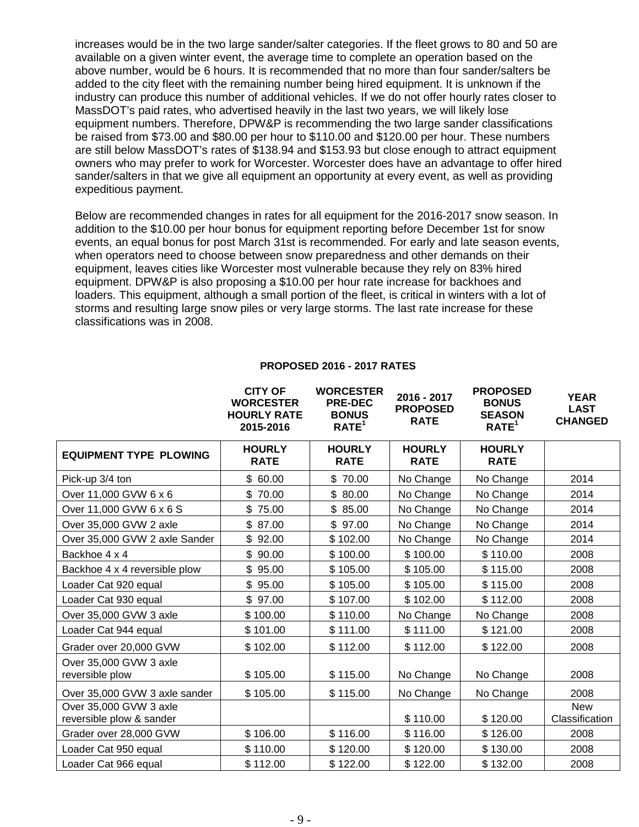increases would be in the two large sander/salter categories. If the fleet grows to 80 and 50 are available on a given winter event, the average time to complete an operation based on the above number, would be 6 hours. It is recommended that no more than four sander/salters be added to the city fleet with the remaining number being hired equipment. It is unknown if the industry can produce this number of additional vehicles. If we do not offer hourly rates closer to MassDOT's paid rates, who advertised heavily in the last two years, we will likely lose equipment numbers. Therefore, DPW&P is recommending the two large sander classifications be raised from \$73.00 and \$80.00 per hour to \$110.00 and \$120.00 per hour. These numbers are still below MassDOT's rates of \$138.94 and \$153.93 but close enough to attract equipment owners who may prefer to work for Worcester. Worcester does have an advantage to offer hired sander/salters in that we give all equipment an opportunity at every event, as well as providing expeditious payment.

Below are recommended changes in rates for all equipment for the 2016-2017 snow season. In addition to the \$10.00 per hour bonus for equipment reporting before December 1st for snow events, an equal bonus for post March 31st is recommended. For early and late season events, when operators need to choose between snow preparedness and other demands on their equipment, leaves cities like Worcester most vulnerable because they rely on 83% hired equipment. DPW&P is also proposing a \$10.00 per hour rate increase for backhoes and loaders. This equipment, although a small portion of the fleet, is critical in winters with a lot of storms and resulting large snow piles or very large storms. The last rate increase for these classifications was in 2008.

**CITY OF** 

|                                                    | uli ur<br><b>WORCESTER</b><br><b>HOURLY RATE</b><br>2015-2016 | WURLESIER<br><b>PRE-DEC</b><br><b>BONUS</b><br>RATE <sup>1</sup> | 2016 - 2017<br><b>PROPOSED</b><br><b>RATE</b> | PRUPUSEU<br><b>BONUS</b><br><b>SEASON</b><br>RATE <sup>1</sup> | <b>YEAR</b><br><b>LAST</b><br><b>CHANGED</b> |
|----------------------------------------------------|---------------------------------------------------------------|------------------------------------------------------------------|-----------------------------------------------|----------------------------------------------------------------|----------------------------------------------|
| <b>EQUIPMENT TYPE PLOWING</b>                      | <b>HOURLY</b><br><b>RATE</b>                                  | <b>HOURLY</b><br><b>RATE</b>                                     | <b>HOURLY</b><br><b>RATE</b>                  | <b>HOURLY</b><br><b>RATE</b>                                   |                                              |
| Pick-up 3/4 ton                                    | \$60.00                                                       | \$70.00                                                          | No Change                                     | No Change                                                      | 2014                                         |
| Over 11,000 GVW 6 x 6                              | \$70.00                                                       | \$80.00                                                          | No Change                                     | No Change                                                      | 2014                                         |
| Over 11,000 GVW 6 x 6 S                            | \$75.00                                                       | \$85.00                                                          | No Change                                     | No Change                                                      | 2014                                         |
| Over 35,000 GVW 2 axle                             | \$87.00                                                       | \$97.00                                                          | No Change                                     | No Change                                                      | 2014                                         |
| Over 35,000 GVW 2 axle Sander                      | \$92.00                                                       | \$102.00                                                         | No Change                                     | No Change                                                      | 2014                                         |
| Backhoe 4 x 4                                      | \$90.00                                                       | \$100.00                                                         | \$100.00                                      | \$110.00                                                       | 2008                                         |
| Backhoe 4 x 4 reversible plow                      | \$95.00                                                       | \$105.00                                                         | \$105.00                                      | \$115.00                                                       | 2008                                         |
| Loader Cat 920 equal                               | \$95.00                                                       | \$105.00                                                         | \$105.00                                      | \$115.00                                                       | 2008                                         |
| Loader Cat 930 equal                               | \$97.00                                                       | \$107.00                                                         | \$102.00                                      | \$112.00                                                       | 2008                                         |
| Over 35,000 GVW 3 axle                             | \$100.00                                                      | \$110.00                                                         | No Change                                     | No Change                                                      | 2008                                         |
| Loader Cat 944 equal                               | \$101.00                                                      | \$111.00                                                         | \$111.00                                      | \$121.00                                                       | 2008                                         |
| Grader over 20,000 GVW                             | \$102.00                                                      | \$112.00                                                         | \$112.00                                      | \$122.00                                                       | 2008                                         |
| Over 35,000 GVW 3 axle<br>reversible plow          | \$105.00                                                      | \$115.00                                                         | No Change                                     | No Change                                                      | 2008                                         |
| Over 35,000 GVW 3 axle sander                      | \$105.00                                                      | \$115.00                                                         | No Change                                     | No Change                                                      | 2008                                         |
| Over 35,000 GVW 3 axle<br>reversible plow & sander |                                                               |                                                                  | \$110.00                                      | \$120.00                                                       | <b>New</b><br>Classification                 |
| Grader over 28,000 GVW                             | \$106.00                                                      | \$116.00                                                         | \$116.00                                      | \$126.00                                                       | 2008                                         |
| Loader Cat 950 equal                               | \$110.00                                                      | \$120.00                                                         | \$120.00                                      | \$130.00                                                       | 2008                                         |
| Loader Cat 966 equal                               | \$112.00                                                      | \$122.00                                                         | \$122.00                                      | \$132.00                                                       | 2008                                         |

#### **PROPOSED 2016 - 2017 RATES**

**WORCESTER** 

**PROPOSED**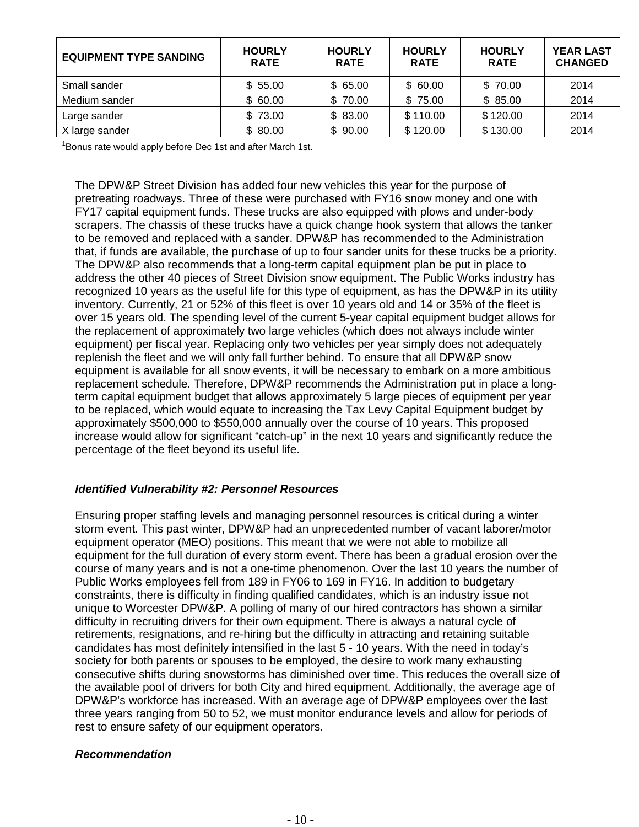| <b>EQUIPMENT TYPE SANDING</b> | <b>HOURLY</b><br><b>RATE</b> | <b>HOURLY</b><br><b>RATE</b> | <b>HOURLY</b><br><b>RATE</b> | <b>HOURLY</b><br><b>RATE</b> | <b>YEAR LAST</b><br><b>CHANGED</b> |
|-------------------------------|------------------------------|------------------------------|------------------------------|------------------------------|------------------------------------|
| Small sander                  | \$55.00                      | \$65.00                      | \$60.00                      | \$70.00                      | 2014                               |
| Medium sander                 | \$60.00                      | \$70.00                      | \$75.00                      | \$85.00                      | 2014                               |
| Large sander                  | \$73.00                      | \$83.00                      | \$110.00                     | \$120.00                     | 2014                               |
| X large sander                | \$80.00                      | \$90.00                      | \$120.00                     | \$130.00                     | 2014                               |

<sup>1</sup>Bonus rate would apply before Dec 1st and after March 1st.

The DPW&P Street Division has added four new vehicles this year for the purpose of pretreating roadways. Three of these were purchased with FY16 snow money and one with FY17 capital equipment funds. These trucks are also equipped with plows and under-body scrapers. The chassis of these trucks have a quick change hook system that allows the tanker to be removed and replaced with a sander. DPW&P has recommended to the Administration that, if funds are available, the purchase of up to four sander units for these trucks be a priority. The DPW&P also recommends that a long-term capital equipment plan be put in place to address the other 40 pieces of Street Division snow equipment. The Public Works industry has recognized 10 years as the useful life for this type of equipment, as has the DPW&P in its utility inventory. Currently, 21 or 52% of this fleet is over 10 years old and 14 or 35% of the fleet is over 15 years old. The spending level of the current 5-year capital equipment budget allows for the replacement of approximately two large vehicles (which does not always include winter equipment) per fiscal year. Replacing only two vehicles per year simply does not adequately replenish the fleet and we will only fall further behind. To ensure that all DPW&P snow equipment is available for all snow events, it will be necessary to embark on a more ambitious replacement schedule. Therefore, DPW&P recommends the Administration put in place a longterm capital equipment budget that allows approximately 5 large pieces of equipment per year to be replaced, which would equate to increasing the Tax Levy Capital Equipment budget by approximately \$500,000 to \$550,000 annually over the course of 10 years. This proposed increase would allow for significant "catch-up" in the next 10 years and significantly reduce the percentage of the fleet beyond its useful life.

#### *Identified Vulnerability #2: Personnel Resources*

Ensuring proper staffing levels and managing personnel resources is critical during a winter storm event. This past winter, DPW&P had an unprecedented number of vacant laborer/motor equipment operator (MEO) positions. This meant that we were not able to mobilize all equipment for the full duration of every storm event. There has been a gradual erosion over the course of many years and is not a one-time phenomenon. Over the last 10 years the number of Public Works employees fell from 189 in FY06 to 169 in FY16. In addition to budgetary constraints, there is difficulty in finding qualified candidates, which is an industry issue not unique to Worcester DPW&P. A polling of many of our hired contractors has shown a similar difficulty in recruiting drivers for their own equipment. There is always a natural cycle of retirements, resignations, and re-hiring but the difficulty in attracting and retaining suitable candidates has most definitely intensified in the last 5 - 10 years. With the need in today's society for both parents or spouses to be employed, the desire to work many exhausting consecutive shifts during snowstorms has diminished over time. This reduces the overall size of the available pool of drivers for both City and hired equipment. Additionally, the average age of DPW&P's workforce has increased. With an average age of DPW&P employees over the last three years ranging from 50 to 52, we must monitor endurance levels and allow for periods of rest to ensure safety of our equipment operators.

#### *Recommendation*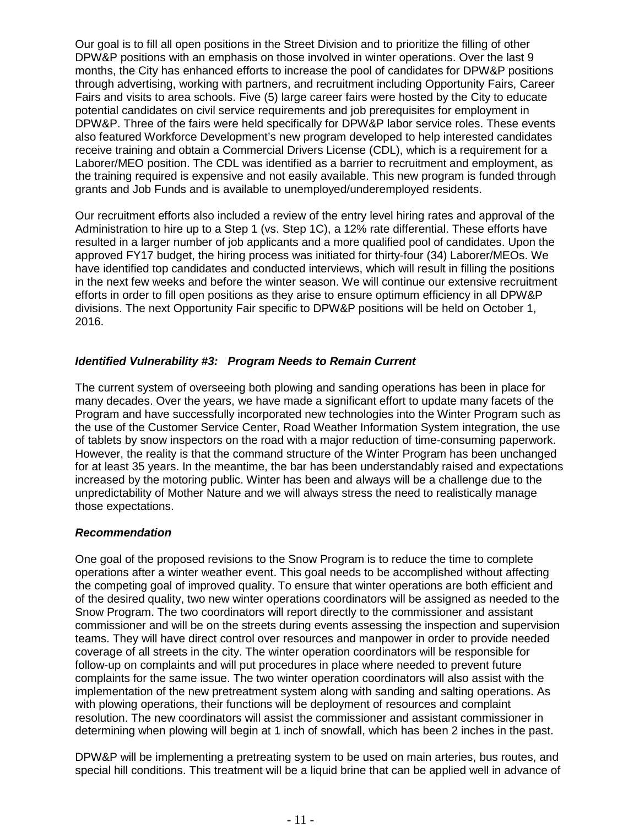Our goal is to fill all open positions in the Street Division and to prioritize the filling of other DPW&P positions with an emphasis on those involved in winter operations. Over the last 9 months, the City has enhanced efforts to increase the pool of candidates for DPW&P positions through advertising, working with partners, and recruitment including Opportunity Fairs, Career Fairs and visits to area schools. Five (5) large career fairs were hosted by the City to educate potential candidates on civil service requirements and job prerequisites for employment in DPW&P. Three of the fairs were held specifically for DPW&P labor service roles. These events also featured Workforce Development's new program developed to help interested candidates receive training and obtain a Commercial Drivers License (CDL), which is a requirement for a Laborer/MEO position. The CDL was identified as a barrier to recruitment and employment, as the training required is expensive and not easily available. This new program is funded through grants and Job Funds and is available to unemployed/underemployed residents.

Our recruitment efforts also included a review of the entry level hiring rates and approval of the Administration to hire up to a Step 1 (vs. Step 1C), a 12% rate differential. These efforts have resulted in a larger number of job applicants and a more qualified pool of candidates. Upon the approved FY17 budget, the hiring process was initiated for thirty-four (34) Laborer/MEOs. We have identified top candidates and conducted interviews, which will result in filling the positions in the next few weeks and before the winter season. We will continue our extensive recruitment efforts in order to fill open positions as they arise to ensure optimum efficiency in all DPW&P divisions. The next Opportunity Fair specific to DPW&P positions will be held on October 1, 2016.

#### *Identified Vulnerability #3: Program Needs to Remain Current*

The current system of overseeing both plowing and sanding operations has been in place for many decades. Over the years, we have made a significant effort to update many facets of the Program and have successfully incorporated new technologies into the Winter Program such as the use of the Customer Service Center, Road Weather Information System integration, the use of tablets by snow inspectors on the road with a major reduction of time-consuming paperwork. However, the reality is that the command structure of the Winter Program has been unchanged for at least 35 years. In the meantime, the bar has been understandably raised and expectations increased by the motoring public. Winter has been and always will be a challenge due to the unpredictability of Mother Nature and we will always stress the need to realistically manage those expectations.

#### *Recommendation*

One goal of the proposed revisions to the Snow Program is to reduce the time to complete operations after a winter weather event. This goal needs to be accomplished without affecting the competing goal of improved quality. To ensure that winter operations are both efficient and of the desired quality, two new winter operations coordinators will be assigned as needed to the Snow Program. The two coordinators will report directly to the commissioner and assistant commissioner and will be on the streets during events assessing the inspection and supervision teams. They will have direct control over resources and manpower in order to provide needed coverage of all streets in the city. The winter operation coordinators will be responsible for follow-up on complaints and will put procedures in place where needed to prevent future complaints for the same issue. The two winter operation coordinators will also assist with the implementation of the new pretreatment system along with sanding and salting operations. As with plowing operations, their functions will be deployment of resources and complaint resolution. The new coordinators will assist the commissioner and assistant commissioner in determining when plowing will begin at 1 inch of snowfall, which has been 2 inches in the past.

DPW&P will be implementing a pretreating system to be used on main arteries, bus routes, and special hill conditions. This treatment will be a liquid brine that can be applied well in advance of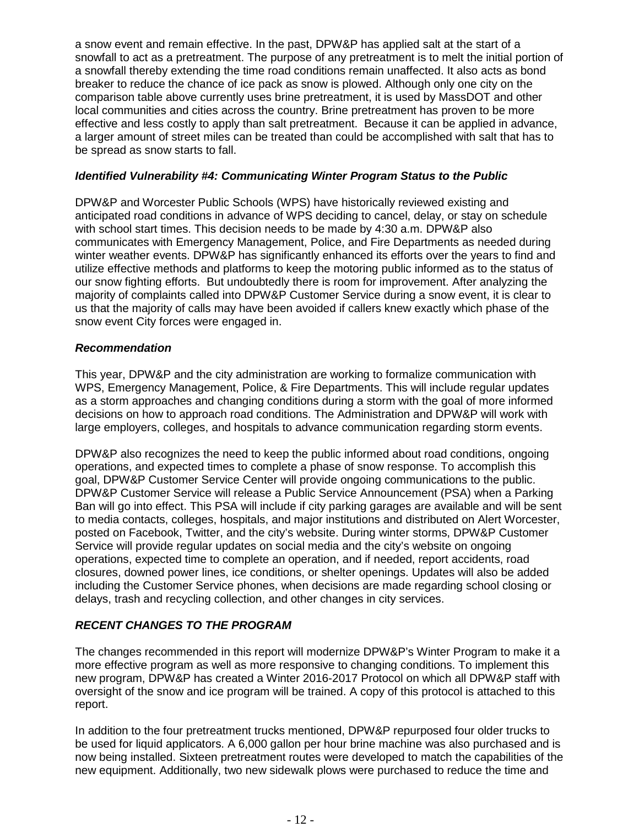a snow event and remain effective. In the past, DPW&P has applied salt at the start of a snowfall to act as a pretreatment. The purpose of any pretreatment is to melt the initial portion of a snowfall thereby extending the time road conditions remain unaffected. It also acts as bond breaker to reduce the chance of ice pack as snow is plowed. Although only one city on the comparison table above currently uses brine pretreatment, it is used by MassDOT and other local communities and cities across the country. Brine pretreatment has proven to be more effective and less costly to apply than salt pretreatment. Because it can be applied in advance, a larger amount of street miles can be treated than could be accomplished with salt that has to be spread as snow starts to fall.

#### *Identified Vulnerability #4: Communicating Winter Program Status to the Public*

DPW&P and Worcester Public Schools (WPS) have historically reviewed existing and anticipated road conditions in advance of WPS deciding to cancel, delay, or stay on schedule with school start times. This decision needs to be made by 4:30 a.m. DPW&P also communicates with Emergency Management, Police, and Fire Departments as needed during winter weather events. DPW&P has significantly enhanced its efforts over the years to find and utilize effective methods and platforms to keep the motoring public informed as to the status of our snow fighting efforts. But undoubtedly there is room for improvement. After analyzing the majority of complaints called into DPW&P Customer Service during a snow event, it is clear to us that the majority of calls may have been avoided if callers knew exactly which phase of the snow event City forces were engaged in.

#### *Recommendation*

This year, DPW&P and the city administration are working to formalize communication with WPS, Emergency Management, Police, & Fire Departments. This will include regular updates as a storm approaches and changing conditions during a storm with the goal of more informed decisions on how to approach road conditions. The Administration and DPW&P will work with large employers, colleges, and hospitals to advance communication regarding storm events.

DPW&P also recognizes the need to keep the public informed about road conditions, ongoing operations, and expected times to complete a phase of snow response. To accomplish this goal, DPW&P Customer Service Center will provide ongoing communications to the public. DPW&P Customer Service will release a Public Service Announcement (PSA) when a Parking Ban will go into effect. This PSA will include if city parking garages are available and will be sent to media contacts, colleges, hospitals, and major institutions and distributed on Alert Worcester, posted on Facebook, Twitter, and the city's website. During winter storms, DPW&P Customer Service will provide regular updates on social media and the city's website on ongoing operations, expected time to complete an operation, and if needed, report accidents, road closures, downed power lines, ice conditions, or shelter openings. Updates will also be added including the Customer Service phones, when decisions are made regarding school closing or delays, trash and recycling collection, and other changes in city services.

### *RECENT CHANGES TO THE PROGRAM*

The changes recommended in this report will modernize DPW&P's Winter Program to make it a more effective program as well as more responsive to changing conditions. To implement this new program, DPW&P has created a Winter 2016-2017 Protocol on which all DPW&P staff with oversight of the snow and ice program will be trained. A copy of this protocol is attached to this report.

In addition to the four pretreatment trucks mentioned, DPW&P repurposed four older trucks to be used for liquid applicators. A 6,000 gallon per hour brine machine was also purchased and is now being installed. Sixteen pretreatment routes were developed to match the capabilities of the new equipment. Additionally, two new sidewalk plows were purchased to reduce the time and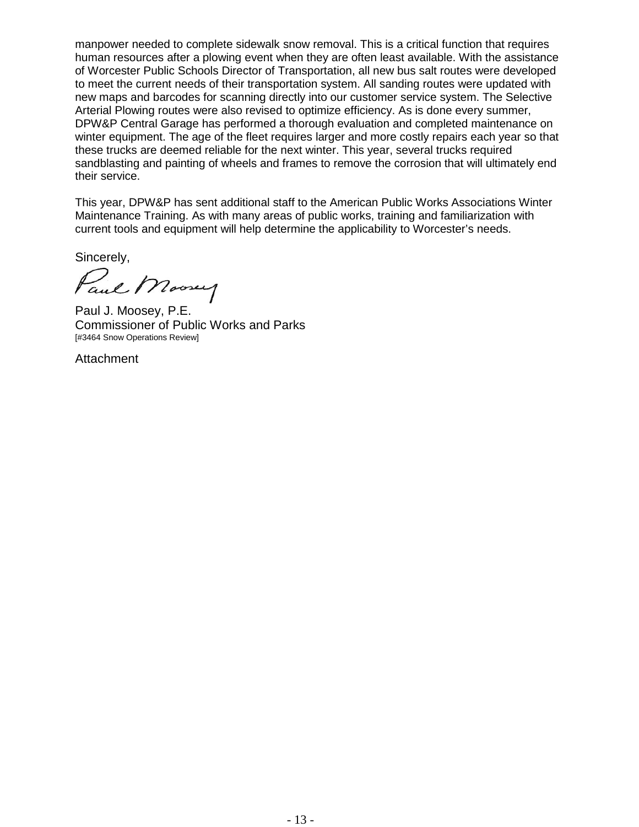manpower needed to complete sidewalk snow removal. This is a critical function that requires human resources after a plowing event when they are often least available. With the assistance of Worcester Public Schools Director of Transportation, all new bus salt routes were developed to meet the current needs of their transportation system. All sanding routes were updated with new maps and barcodes for scanning directly into our customer service system. The Selective Arterial Plowing routes were also revised to optimize efficiency. As is done every summer, DPW&P Central Garage has performed a thorough evaluation and completed maintenance on winter equipment. The age of the fleet requires larger and more costly repairs each year so that these trucks are deemed reliable for the next winter. This year, several trucks required sandblasting and painting of wheels and frames to remove the corrosion that will ultimately end their service.

This year, DPW&P has sent additional staff to the American Public Works Associations Winter Maintenance Training. As with many areas of public works, training and familiarization with current tools and equipment will help determine the applicability to Worcester's needs.

Sincerely,

Paul Mooney

Paul J. Moosey, P.E. Commissioner of Public Works and Parks [#3464 Snow Operations Review]

**Attachment**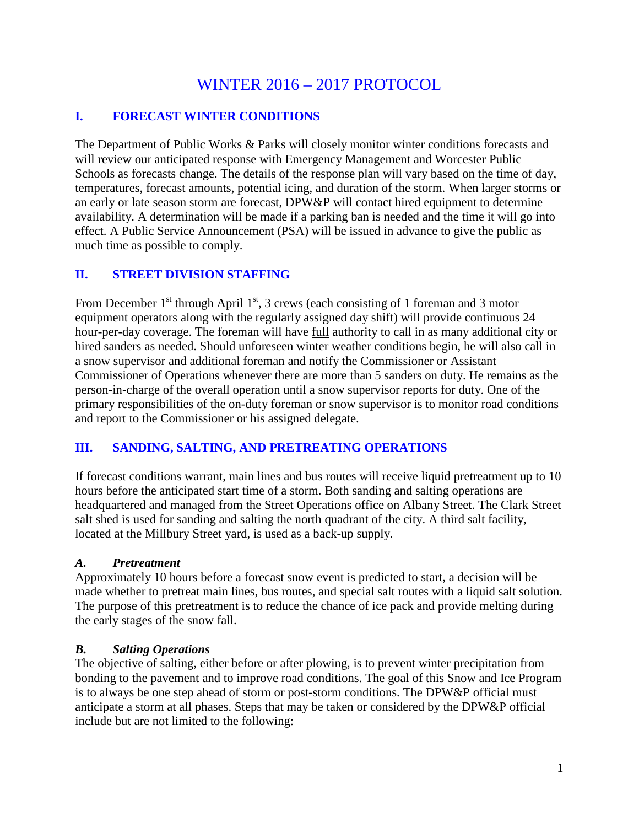## WINTER 2016 – 2017 PROTOCOL

## **I. FORECAST WINTER CONDITIONS**

The Department of Public Works & Parks will closely monitor winter conditions forecasts and will review our anticipated response with Emergency Management and Worcester Public Schools as forecasts change. The details of the response plan will vary based on the time of day, temperatures, forecast amounts, potential icing, and duration of the storm. When larger storms or an early or late season storm are forecast, DPW&P will contact hired equipment to determine availability. A determination will be made if a parking ban is needed and the time it will go into effect. A Public Service Announcement (PSA) will be issued in advance to give the public as much time as possible to comply.

## **II. STREET DIVISION STAFFING**

From December  $1<sup>st</sup>$  through April  $1<sup>st</sup>$ , 3 crews (each consisting of 1 foreman and 3 motor equipment operators along with the regularly assigned day shift) will provide continuous 24 hour-per-day coverage. The foreman will have full authority to call in as many additional city or hired sanders as needed. Should unforeseen winter weather conditions begin, he will also call in a snow supervisor and additional foreman and notify the Commissioner or Assistant Commissioner of Operations whenever there are more than 5 sanders on duty. He remains as the person-in-charge of the overall operation until a snow supervisor reports for duty. One of the primary responsibilities of the on-duty foreman or snow supervisor is to monitor road conditions and report to the Commissioner or his assigned delegate.

## **III. SANDING, SALTING, AND PRETREATING OPERATIONS**

If forecast conditions warrant, main lines and bus routes will receive liquid pretreatment up to 10 hours before the anticipated start time of a storm. Both sanding and salting operations are headquartered and managed from the Street Operations office on Albany Street. The Clark Street salt shed is used for sanding and salting the north quadrant of the city. A third salt facility, located at the Millbury Street yard, is used as a back-up supply.

### *A. Pretreatment*

Approximately 10 hours before a forecast snow event is predicted to start, a decision will be made whether to pretreat main lines, bus routes, and special salt routes with a liquid salt solution. The purpose of this pretreatment is to reduce the chance of ice pack and provide melting during the early stages of the snow fall.

### *B. Salting Operations*

The objective of salting, either before or after plowing, is to prevent winter precipitation from bonding to the pavement and to improve road conditions. The goal of this Snow and Ice Program is to always be one step ahead of storm or post-storm conditions. The DPW&P official must anticipate a storm at all phases. Steps that may be taken or considered by the DPW&P official include but are not limited to the following: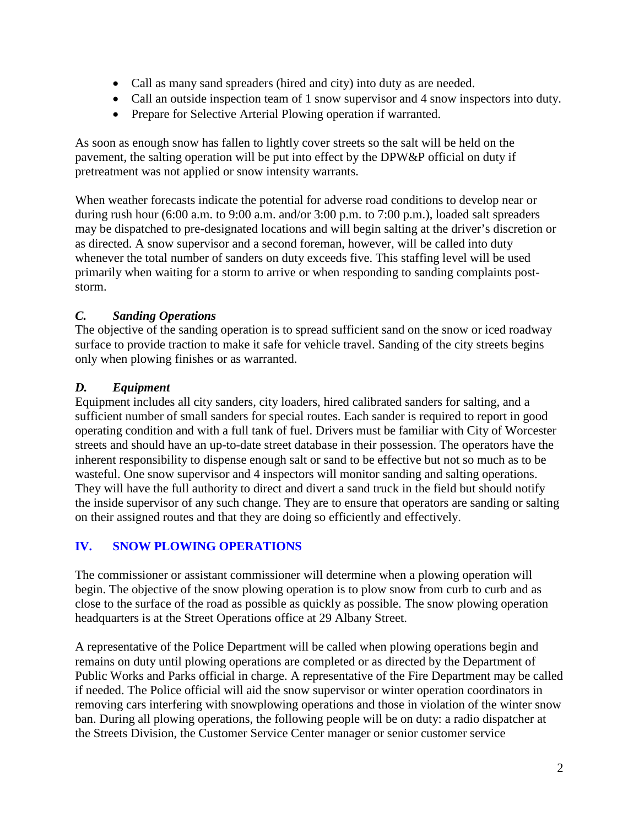- Call as many sand spreaders (hired and city) into duty as are needed.
- Call an outside inspection team of 1 snow supervisor and 4 snow inspectors into duty.
- Prepare for Selective Arterial Plowing operation if warranted.

As soon as enough snow has fallen to lightly cover streets so the salt will be held on the pavement, the salting operation will be put into effect by the DPW&P official on duty if pretreatment was not applied or snow intensity warrants.

When weather forecasts indicate the potential for adverse road conditions to develop near or during rush hour (6:00 a.m. to 9:00 a.m. and/or 3:00 p.m. to 7:00 p.m.), loaded salt spreaders may be dispatched to pre-designated locations and will begin salting at the driver's discretion or as directed. A snow supervisor and a second foreman, however, will be called into duty whenever the total number of sanders on duty exceeds five. This staffing level will be used primarily when waiting for a storm to arrive or when responding to sanding complaints poststorm.

## *C. Sanding Operations*

The objective of the sanding operation is to spread sufficient sand on the snow or iced roadway surface to provide traction to make it safe for vehicle travel. Sanding of the city streets begins only when plowing finishes or as warranted.

## *D. Equipment*

Equipment includes all city sanders, city loaders, hired calibrated sanders for salting, and a sufficient number of small sanders for special routes. Each sander is required to report in good operating condition and with a full tank of fuel. Drivers must be familiar with City of Worcester streets and should have an up-to-date street database in their possession. The operators have the inherent responsibility to dispense enough salt or sand to be effective but not so much as to be wasteful. One snow supervisor and 4 inspectors will monitor sanding and salting operations. They will have the full authority to direct and divert a sand truck in the field but should notify the inside supervisor of any such change. They are to ensure that operators are sanding or salting on their assigned routes and that they are doing so efficiently and effectively.

## **IV. SNOW PLOWING OPERATIONS**

The commissioner or assistant commissioner will determine when a plowing operation will begin. The objective of the snow plowing operation is to plow snow from curb to curb and as close to the surface of the road as possible as quickly as possible. The snow plowing operation headquarters is at the Street Operations office at 29 Albany Street.

A representative of the Police Department will be called when plowing operations begin and remains on duty until plowing operations are completed or as directed by the Department of Public Works and Parks official in charge. A representative of the Fire Department may be called if needed. The Police official will aid the snow supervisor or winter operation coordinators in removing cars interfering with snowplowing operations and those in violation of the winter snow ban. During all plowing operations, the following people will be on duty: a radio dispatcher at the Streets Division, the Customer Service Center manager or senior customer service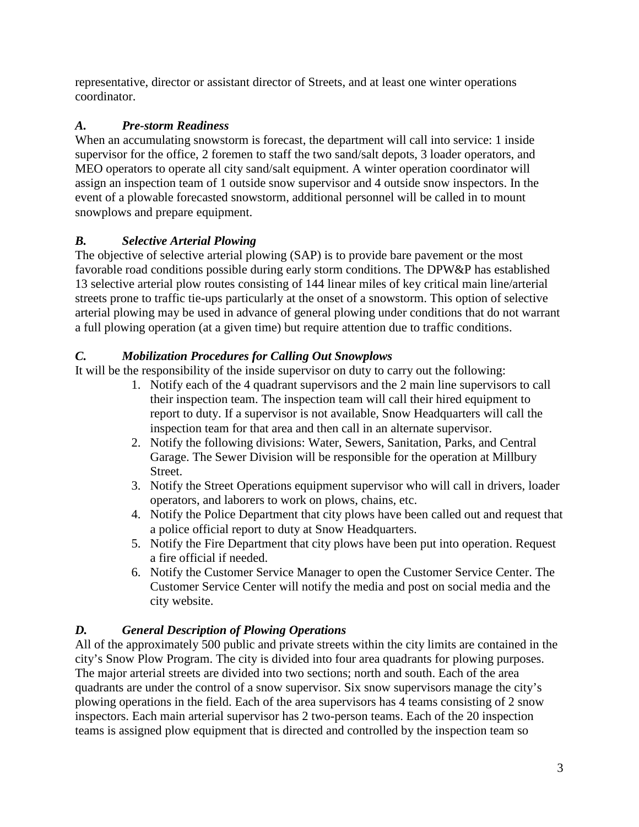representative, director or assistant director of Streets, and at least one winter operations coordinator.

## *A. Pre-storm Readiness*

When an accumulating snowstorm is forecast, the department will call into service: 1 inside supervisor for the office, 2 foremen to staff the two sand/salt depots, 3 loader operators, and MEO operators to operate all city sand/salt equipment. A winter operation coordinator will assign an inspection team of 1 outside snow supervisor and 4 outside snow inspectors. In the event of a plowable forecasted snowstorm, additional personnel will be called in to mount snowplows and prepare equipment.

## *B. Selective Arterial Plowing*

The objective of selective arterial plowing (SAP) is to provide bare pavement or the most favorable road conditions possible during early storm conditions. The DPW&P has established 13 selective arterial plow routes consisting of 144 linear miles of key critical main line/arterial streets prone to traffic tie-ups particularly at the onset of a snowstorm. This option of selective arterial plowing may be used in advance of general plowing under conditions that do not warrant a full plowing operation (at a given time) but require attention due to traffic conditions.

## *C. Mobilization Procedures for Calling Out Snowplows*

It will be the responsibility of the inside supervisor on duty to carry out the following:

- 1. Notify each of the 4 quadrant supervisors and the 2 main line supervisors to call their inspection team. The inspection team will call their hired equipment to report to duty. If a supervisor is not available, Snow Headquarters will call the inspection team for that area and then call in an alternate supervisor.
- 2. Notify the following divisions: Water, Sewers, Sanitation, Parks, and Central Garage. The Sewer Division will be responsible for the operation at Millbury Street.
- 3. Notify the Street Operations equipment supervisor who will call in drivers, loader operators, and laborers to work on plows, chains, etc.
- 4. Notify the Police Department that city plows have been called out and request that a police official report to duty at Snow Headquarters.
- 5. Notify the Fire Department that city plows have been put into operation. Request a fire official if needed.
- 6. Notify the Customer Service Manager to open the Customer Service Center. The Customer Service Center will notify the media and post on social media and the city website.

## *D. General Description of Plowing Operations*

All of the approximately 500 public and private streets within the city limits are contained in the city's Snow Plow Program. The city is divided into four area quadrants for plowing purposes. The major arterial streets are divided into two sections; north and south. Each of the area quadrants are under the control of a snow supervisor. Six snow supervisors manage the city's plowing operations in the field. Each of the area supervisors has 4 teams consisting of 2 snow inspectors. Each main arterial supervisor has 2 two-person teams. Each of the 20 inspection teams is assigned plow equipment that is directed and controlled by the inspection team so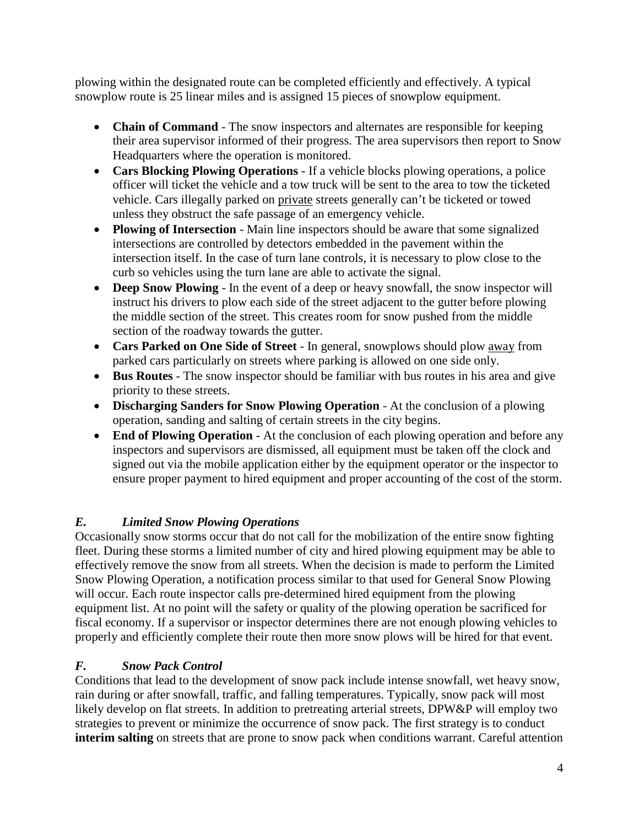plowing within the designated route can be completed efficiently and effectively. A typical snowplow route is 25 linear miles and is assigned 15 pieces of snowplow equipment.

- **Chain of Command** The snow inspectors and alternates are responsible for keeping their area supervisor informed of their progress. The area supervisors then report to Snow Headquarters where the operation is monitored.
- **Cars Blocking Plowing Operations** If a vehicle blocks plowing operations, a police officer will ticket the vehicle and a tow truck will be sent to the area to tow the ticketed vehicle. Cars illegally parked on private streets generally can't be ticketed or towed unless they obstruct the safe passage of an emergency vehicle.
- **Plowing of Intersection** Main line inspectors should be aware that some signalized intersections are controlled by detectors embedded in the pavement within the intersection itself. In the case of turn lane controls, it is necessary to plow close to the curb so vehicles using the turn lane are able to activate the signal.
- **Deep Snow Plowing** In the event of a deep or heavy snowfall, the snow inspector will instruct his drivers to plow each side of the street adjacent to the gutter before plowing the middle section of the street. This creates room for snow pushed from the middle section of the roadway towards the gutter.
- **Cars Parked on One Side of Street** In general, snowplows should plow away from parked cars particularly on streets where parking is allowed on one side only.
- **Bus Routes** The snow inspector should be familiar with bus routes in his area and give priority to these streets.
- **Discharging Sanders for Snow Plowing Operation** At the conclusion of a plowing operation, sanding and salting of certain streets in the city begins.
- **End of Plowing Operation** At the conclusion of each plowing operation and before any inspectors and supervisors are dismissed, all equipment must be taken off the clock and signed out via the mobile application either by the equipment operator or the inspector to ensure proper payment to hired equipment and proper accounting of the cost of the storm.

## *E. Limited Snow Plowing Operations*

Occasionally snow storms occur that do not call for the mobilization of the entire snow fighting fleet. During these storms a limited number of city and hired plowing equipment may be able to effectively remove the snow from all streets. When the decision is made to perform the Limited Snow Plowing Operation, a notification process similar to that used for General Snow Plowing will occur. Each route inspector calls pre-determined hired equipment from the plowing equipment list. At no point will the safety or quality of the plowing operation be sacrificed for fiscal economy. If a supervisor or inspector determines there are not enough plowing vehicles to properly and efficiently complete their route then more snow plows will be hired for that event.

## *F. Snow Pack Control*

Conditions that lead to the development of snow pack include intense snowfall, wet heavy snow, rain during or after snowfall, traffic, and falling temperatures. Typically, snow pack will most likely develop on flat streets. In addition to pretreating arterial streets, DPW&P will employ two strategies to prevent or minimize the occurrence of snow pack. The first strategy is to conduct **interim salting** on streets that are prone to snow pack when conditions warrant. Careful attention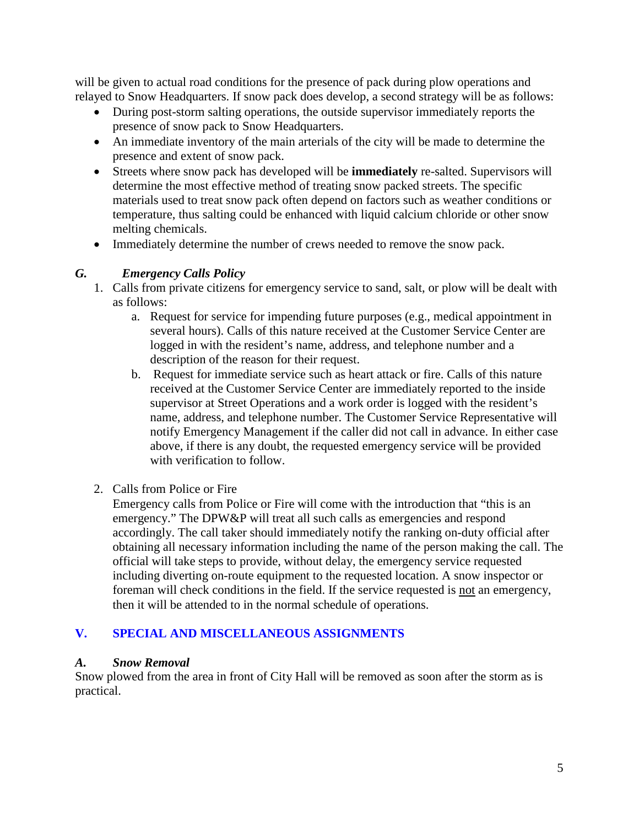will be given to actual road conditions for the presence of pack during plow operations and relayed to Snow Headquarters. If snow pack does develop, a second strategy will be as follows:

- During post-storm salting operations, the outside supervisor immediately reports the presence of snow pack to Snow Headquarters.
- An immediate inventory of the main arterials of the city will be made to determine the presence and extent of snow pack.
- Streets where snow pack has developed will be **immediately** re-salted. Supervisors will determine the most effective method of treating snow packed streets. The specific materials used to treat snow pack often depend on factors such as weather conditions or temperature, thus salting could be enhanced with liquid calcium chloride or other snow melting chemicals.
- Immediately determine the number of crews needed to remove the snow pack.

## *G. Emergency Calls Policy*

- 1. Calls from private citizens for emergency service to sand, salt, or plow will be dealt with as follows:
	- a. Request for service for impending future purposes (e.g., medical appointment in several hours). Calls of this nature received at the Customer Service Center are logged in with the resident's name, address, and telephone number and a description of the reason for their request.
	- b. Request for immediate service such as heart attack or fire. Calls of this nature received at the Customer Service Center are immediately reported to the inside supervisor at Street Operations and a work order is logged with the resident's name, address, and telephone number. The Customer Service Representative will notify Emergency Management if the caller did not call in advance. In either case above, if there is any doubt, the requested emergency service will be provided with verification to follow.
- 2. Calls from Police or Fire

Emergency calls from Police or Fire will come with the introduction that "this is an emergency." The DPW&P will treat all such calls as emergencies and respond accordingly. The call taker should immediately notify the ranking on-duty official after obtaining all necessary information including the name of the person making the call. The official will take steps to provide, without delay, the emergency service requested including diverting on-route equipment to the requested location. A snow inspector or foreman will check conditions in the field. If the service requested is not an emergency, then it will be attended to in the normal schedule of operations.

## **V. SPECIAL AND MISCELLANEOUS ASSIGNMENTS**

### *A. Snow Removal*

Snow plowed from the area in front of City Hall will be removed as soon after the storm as is practical.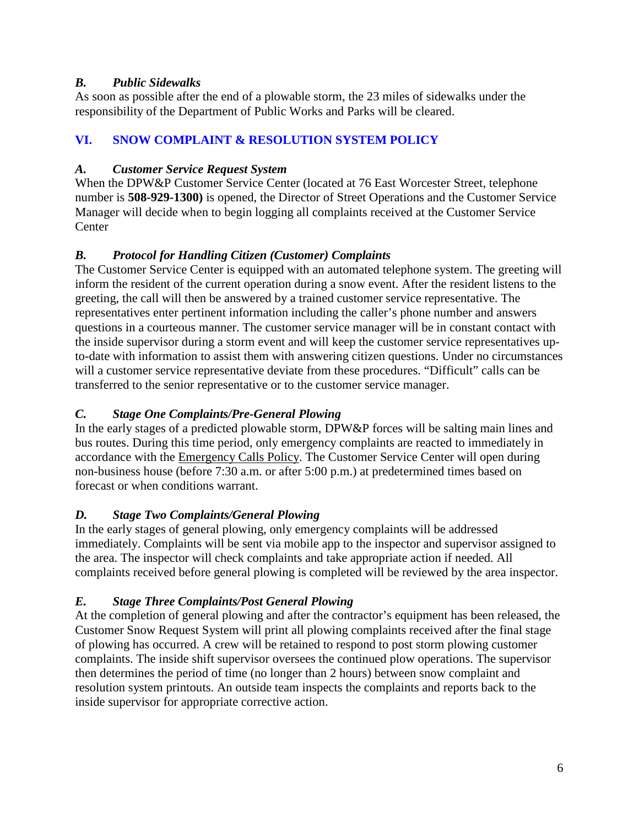## *B. Public Sidewalks*

As soon as possible after the end of a plowable storm, the 23 miles of sidewalks under the responsibility of the Department of Public Works and Parks will be cleared.

## **VI. SNOW COMPLAINT & RESOLUTION SYSTEM POLICY**

## *A. Customer Service Request System*

When the DPW&P Customer Service Center (located at 76 East Worcester Street, telephone number is **508-929-1300)** is opened, the Director of Street Operations and the Customer Service Manager will decide when to begin logging all complaints received at the Customer Service **Center** 

## *B. Protocol for Handling Citizen (Customer) Complaints*

The Customer Service Center is equipped with an automated telephone system. The greeting will inform the resident of the current operation during a snow event. After the resident listens to the greeting, the call will then be answered by a trained customer service representative. The representatives enter pertinent information including the caller's phone number and answers questions in a courteous manner. The customer service manager will be in constant contact with the inside supervisor during a storm event and will keep the customer service representatives upto-date with information to assist them with answering citizen questions. Under no circumstances will a customer service representative deviate from these procedures. "Difficult" calls can be transferred to the senior representative or to the customer service manager.

## *C. Stage One Complaints/Pre-General Plowing*

In the early stages of a predicted plowable storm, DPW&P forces will be salting main lines and bus routes. During this time period, only emergency complaints are reacted to immediately in accordance with the Emergency Calls Policy. The Customer Service Center will open during non-business house (before 7:30 a.m. or after 5:00 p.m.) at predetermined times based on forecast or when conditions warrant.

## *D. Stage Two Complaints/General Plowing*

In the early stages of general plowing, only emergency complaints will be addressed immediately. Complaints will be sent via mobile app to the inspector and supervisor assigned to the area. The inspector will check complaints and take appropriate action if needed. All complaints received before general plowing is completed will be reviewed by the area inspector.

## *E. Stage Three Complaints/Post General Plowing*

At the completion of general plowing and after the contractor's equipment has been released, the Customer Snow Request System will print all plowing complaints received after the final stage of plowing has occurred. A crew will be retained to respond to post storm plowing customer complaints. The inside shift supervisor oversees the continued plow operations. The supervisor then determines the period of time (no longer than 2 hours) between snow complaint and resolution system printouts. An outside team inspects the complaints and reports back to the inside supervisor for appropriate corrective action.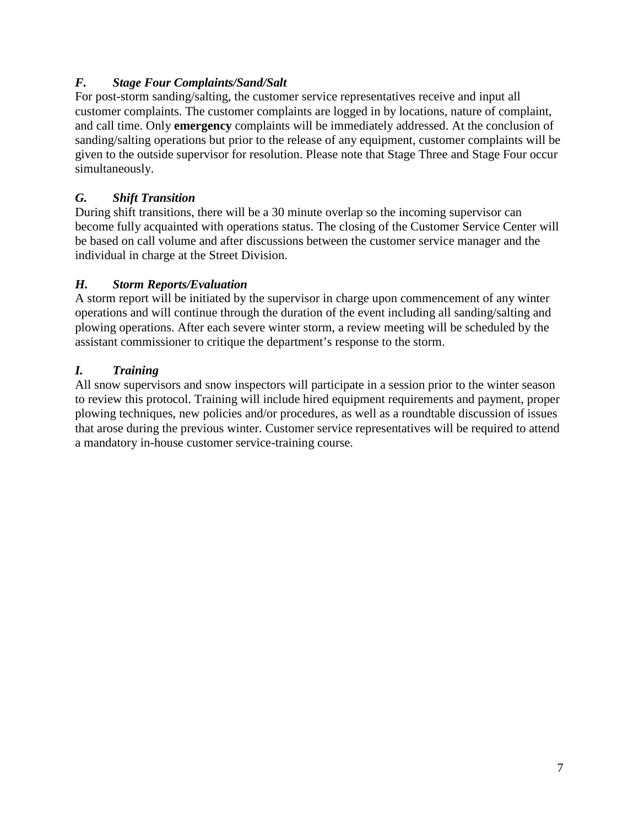## *F. Stage Four Complaints/Sand/Salt*

For post-storm sanding/salting, the customer service representatives receive and input all customer complaints. The customer complaints are logged in by locations, nature of complaint, and call time. Only **emergency** complaints will be immediately addressed. At the conclusion of sanding/salting operations but prior to the release of any equipment, customer complaints will be given to the outside supervisor for resolution. Please note that Stage Three and Stage Four occur simultaneously.

## *G. Shift Transition*

During shift transitions, there will be a 30 minute overlap so the incoming supervisor can become fully acquainted with operations status. The closing of the Customer Service Center will be based on call volume and after discussions between the customer service manager and the individual in charge at the Street Division.

## *H. Storm Reports/Evaluation*

A storm report will be initiated by the supervisor in charge upon commencement of any winter operations and will continue through the duration of the event including all sanding/salting and plowing operations. After each severe winter storm, a review meeting will be scheduled by the assistant commissioner to critique the department's response to the storm.

## *I. Training*

All snow supervisors and snow inspectors will participate in a session prior to the winter season to review this protocol. Training will include hired equipment requirements and payment, proper plowing techniques, new policies and/or procedures, as well as a roundtable discussion of issues that arose during the previous winter. Customer service representatives will be required to attend a mandatory in-house customer service-training course.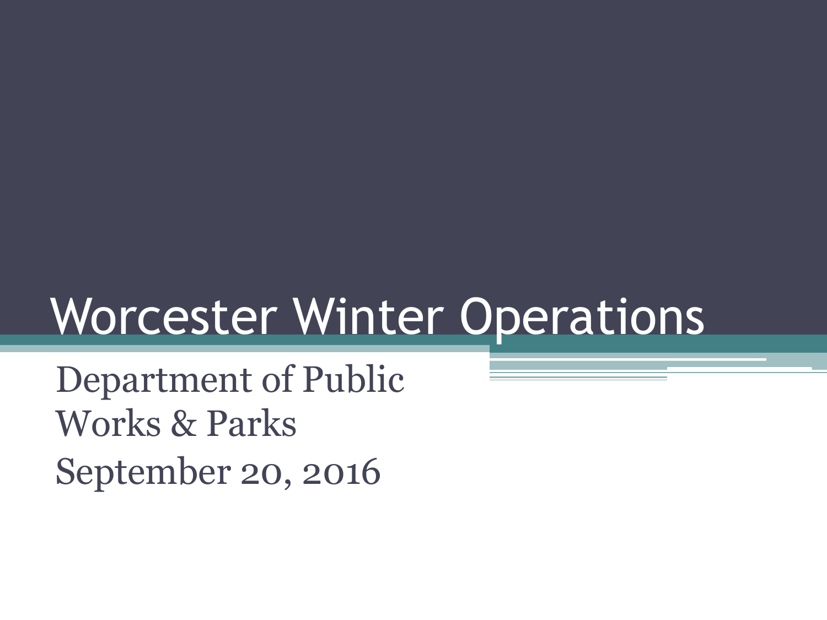# Worcester Winter Operations

Department of Public Works & Parks September 20, 2016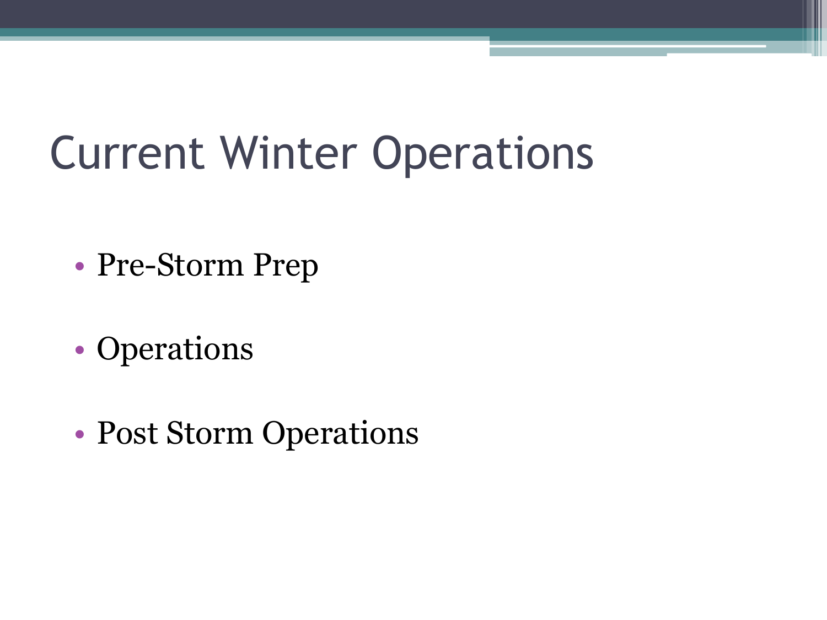## Current Winter Operations

- Pre-Storm Prep
- Operations
- Post Storm Operations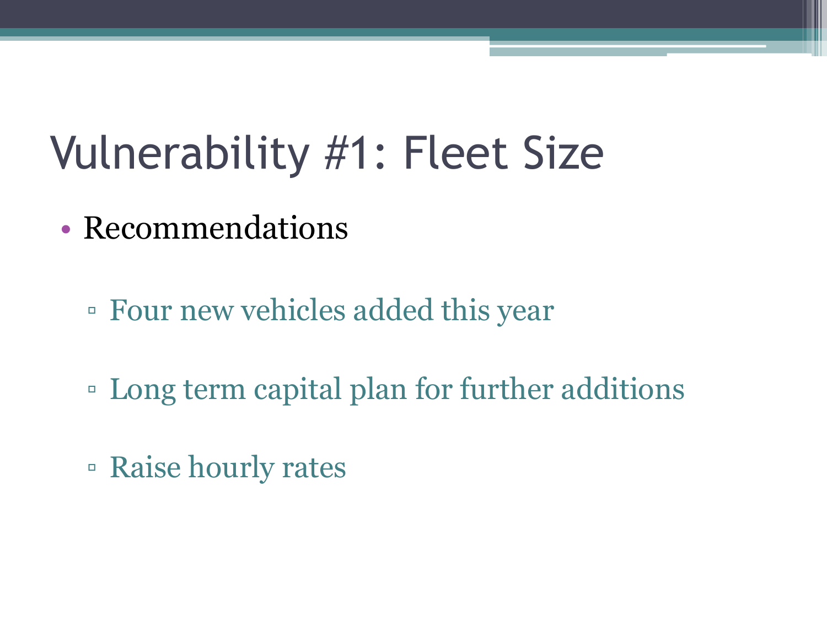## Vulnerability #1: Fleet Size

- Recommendations
	- Four new vehicles added this year
	- Long term capital plan for further additions
	- Raise hourly rates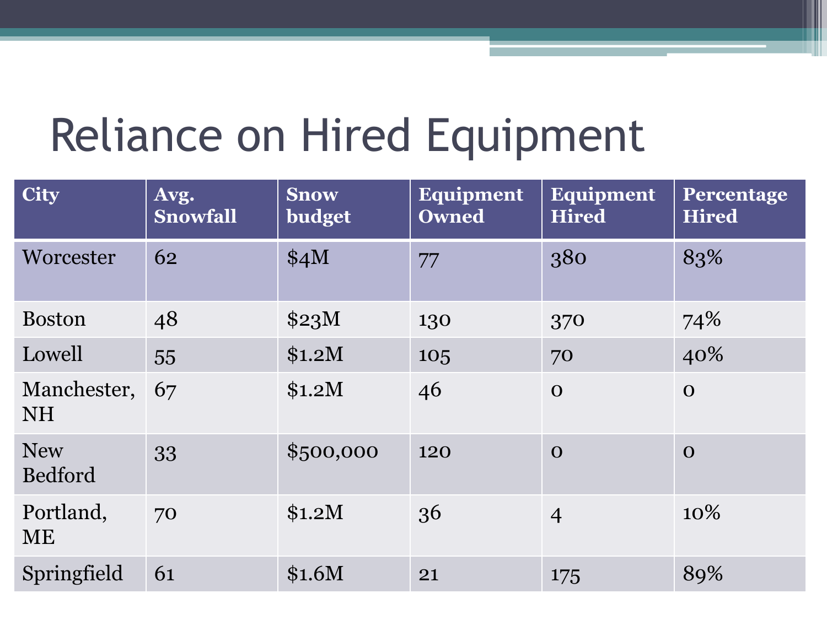# Reliance on Hired Equipment

| <b>City</b>              | Avg.<br><b>Snowfall</b> | <b>Snow</b><br>budget | Equipment<br><b>Owned</b> | <b>Equipment</b><br><b>Hired</b> | Percentage<br><b>Hired</b> |
|--------------------------|-------------------------|-----------------------|---------------------------|----------------------------------|----------------------------|
| Worcester                | 62                      | \$4M                  | 77                        | 380                              | 83%                        |
| <b>Boston</b>            | 48                      | \$23M                 | 130                       | 370                              | 74%                        |
| Lowell                   | 55                      | \$1.2M                | 105                       | 70                               | 40%                        |
| Manchester,<br><b>NH</b> | 67                      | \$1.2M                | 46                        | $\mathbf{O}$                     | $\mathbf{O}$               |
| <b>New</b><br>Bedford    | 33                      | \$500,000             | 120                       | $\mathbf{O}$                     | $\mathbf{O}$               |
| Portland,<br>ME          | 70                      | \$1.2M                | 36                        | $\overline{4}$                   | 10%                        |
| Springfield              | 61                      | \$1.6M                | 21                        | 175                              | 89%                        |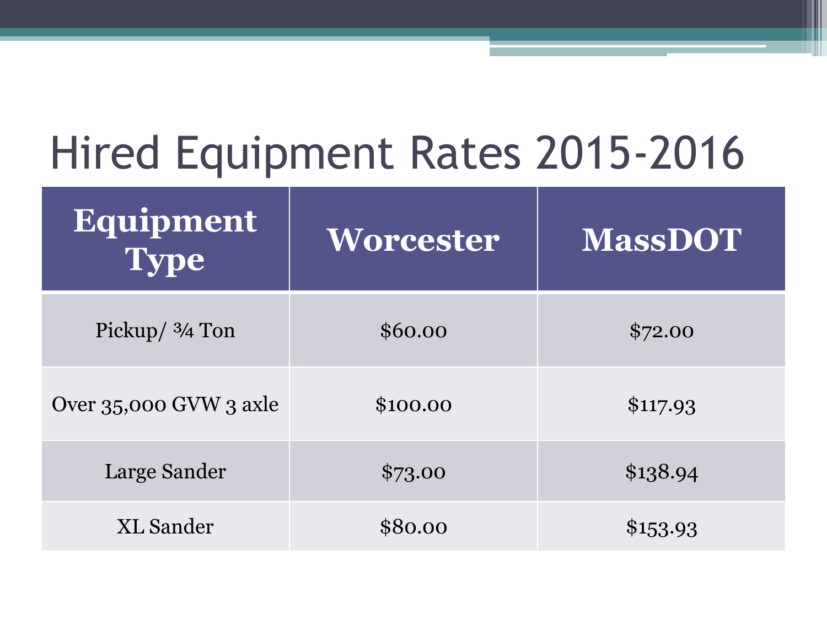# Hired Equipment Rates 2015-2016

| Equipment<br><b>Type</b> | Worcester | <b>MassDOT</b> |
|--------------------------|-----------|----------------|
| Pickup/ $3/4$ Ton        | \$60.00   | \$72.00        |
| Over 35,000 GVW 3 axle   | \$100.00  | \$117.93       |
| <b>Large Sander</b>      | \$73.00   | \$138.94       |
| <b>XL</b> Sander         | \$80.00   | \$153.93       |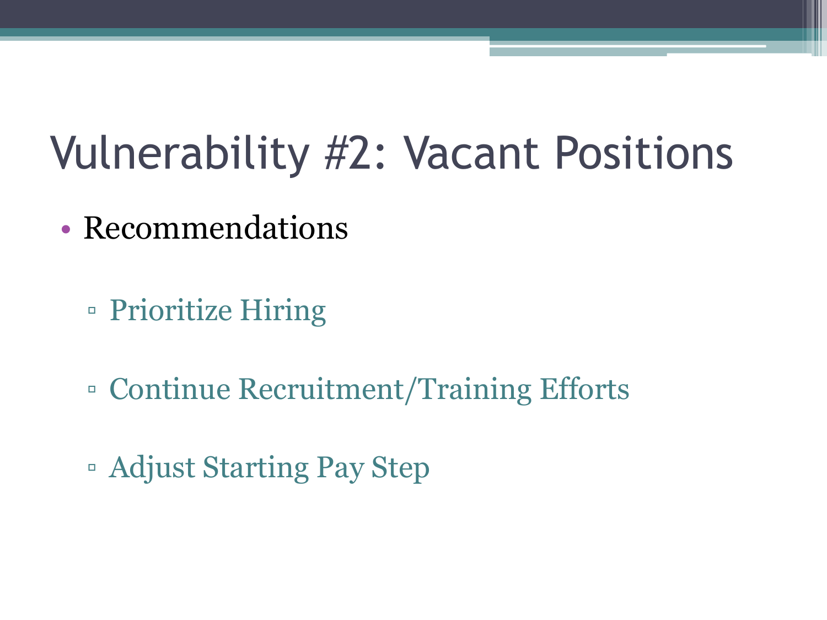## Vulnerability #2: Vacant Positions

- Recommendations
	- Prioritize Hiring
	- Continue Recruitment/Training Efforts
	- Adjust Starting Pay Step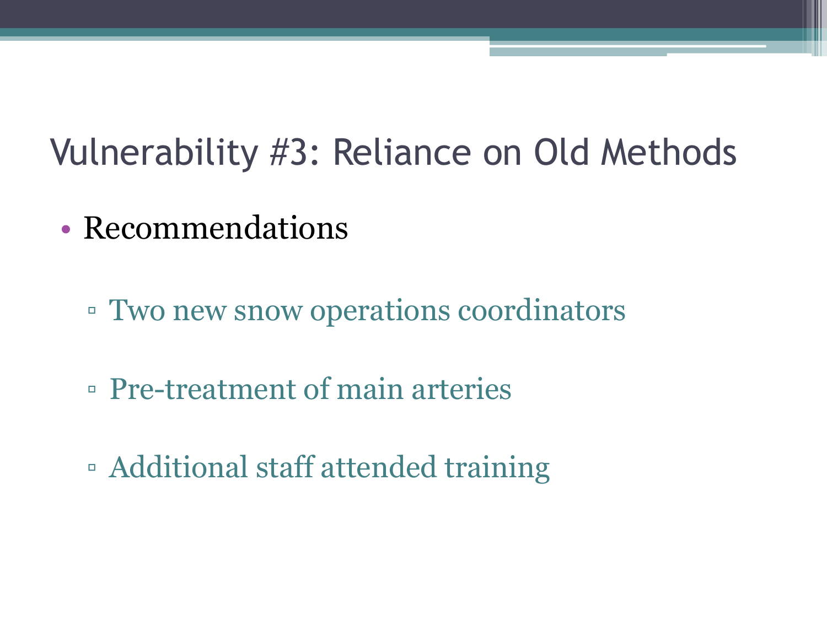## Vulnerability #3: Reliance on Old Methods

- Recommendations
	- Two new snow operations coordinators
	- Pre-treatment of main arteries
	- Additional staff attended training